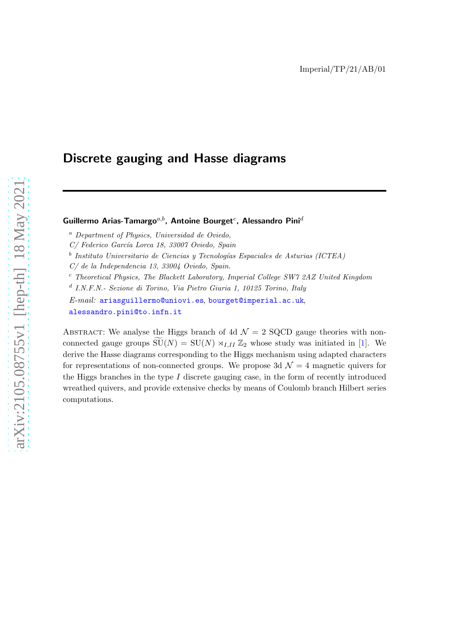# Discrete gauging and Hasse diagrams

# Guillermo Arias-Tamargo $^{a,b}$ , Antoine Bourget $^c$ , Alessandro Pini $^d$

<sup>a</sup> Department of Physics, Universidad de Oviedo,

 $^b$  Instituto Universitario de Ciencias y Tecnologías Espaciales de Asturias (ICTEA)

C/ de la Independencia 13, 33004 Oviedo, Spain.

 $c$  Theoretical Physics, The Blackett Laboratory, Imperial College SW7 2AZ United Kingdom

d I.N.F.N.- Sezione di Torino, Via Pietro Giuria 1, 10125 Torino, Italy

E-mail: [ariasguillermo@uniovi.es](mailto:ariasguillermo@uniovi.es), [bourget@imperial.ac.uk](mailto:bourget@imperial.ac.uk), [alessandro.pini@to.infn.it](mailto:alessandro.pini@to.infn.it)

ABSTRACT: We analyse the Higgs branch of 4d  $\mathcal{N}=2$  SQCD gauge theories with nonconnected gauge groups  $\widetilde{\mathrm{SU}}(N) = \mathrm{SU}(N) \rtimes_{I,II} \mathbb{Z}_2$  whose study was initiated in [\[1](#page-33-0)]. We derive the Hasse diagrams corresponding to the Higgs mechanism using adapted characters for representations of non-connected groups. We propose 3d  $\mathcal{N}=4$  magnetic quivers for the Higgs branches in the type  $I$  discrete gauging case, in the form of recently introduced wreathed quivers, and provide extensive checks by means of Coulomb branch Hilbert series computations.

C/ Federico García Lorca 18, 33007 Oviedo, Spain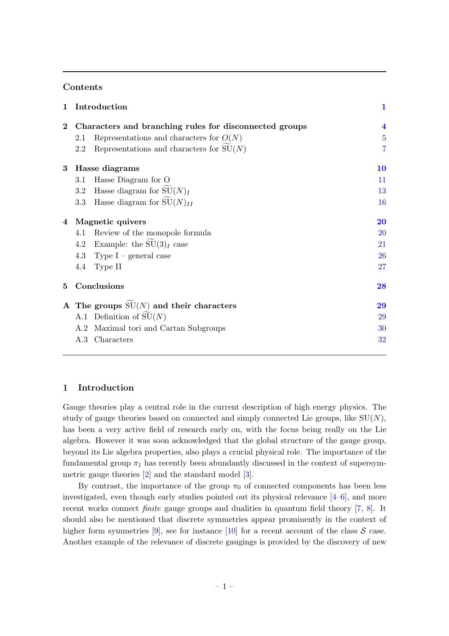# Contents

| $\mathbf{1}$                                           |                         |
|--------------------------------------------------------|-------------------------|
| Characters and branching rules for disconnected groups | $\overline{\mathbf{4}}$ |
| Representations and characters for $O(N)$<br>2.1       | $\overline{5}$          |
| Representations and characters for $SU(N)$<br>2.2      | $\overline{7}$          |
| 3 Hasse diagrams                                       | 10                      |
| Hasse Diagram for O<br>3.1                             | 11                      |
| 3.2 Hasse diagram for $SU(N)_I$                        | 13                      |
| 3.3 Hasse diagram for $SU(N)_{II}$                     | 16                      |
| Magnetic quivers<br>4                                  | 20                      |
| Review of the monopole formula<br>4.1                  | <b>20</b>               |
| 4.2 Example: the $SU(3)I$ case                         | 21                      |
| 4.3 Type I – general case                              | <b>26</b>               |
| 4.4 Type II                                            | 27                      |
| Conclusions                                            | 28                      |
| A The groups $SU(N)$ and their characters              | 29                      |
| A.1 Definition of $SU(N)$                              | 29                      |
| A.2 Maximal tori and Cartan Subgroups                  | 30                      |
| A.3 Characters                                         | 32                      |
|                                                        | Introduction            |

#### <span id="page-1-0"></span>1 Introduction

Gauge theories play a central role in the current description of high energy physics. The study of gauge theories based on connected and simply connected Lie groups, like  $SU(N)$ , has been a very active field of research early on, with the focus being really on the Lie algebra. However it was soon acknowledged that the global structure of the gauge group, beyond its Lie algebra properties, also plays a crucial physical role. The importance of the fundamental group  $\pi_1$  has recently been abundantly discussed in the context of supersymmetric gauge theories [\[2](#page-33-1)] and the standard model [\[3](#page-33-2)].

By contrast, the importance of the group  $\pi_0$  of connected components has been less investigated, even though early studies pointed out its physical relevance  $[4-6]$ , and more recent works connect *finite* gauge groups and dualities in quantum field theory [\[7](#page-33-5), [8](#page-33-6)]. It should also be mentioned that discrete symmetries appear prominently in the context of higher form symmetries [\[9\]](#page-33-7), see for instance [\[10](#page-33-8)] for a recent account of the class  $S$  case. Another example of the relevance of discrete gaugings is provided by the discovery of new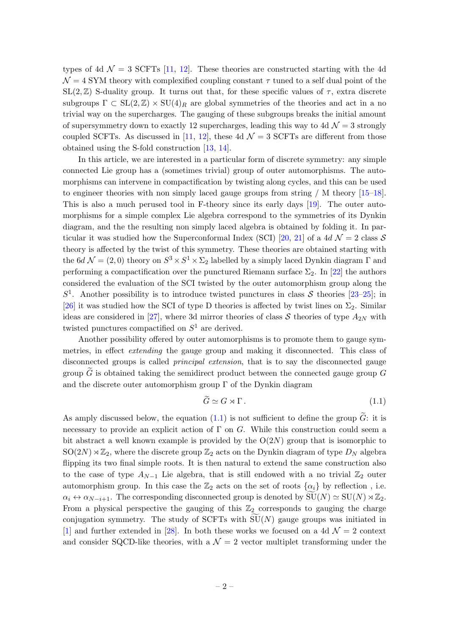types of 4d  $\mathcal{N} = 3$  SCFTs [\[11](#page-33-9), [12\]](#page-33-10). These theories are constructed starting with the 4d  $\mathcal{N} = 4$  SYM theory with complexified coupling constant  $\tau$  tuned to a self dual point of the  $SL(2,\mathbb{Z})$  S-duality group. It turns out that, for these specific values of  $\tau$ , extra discrete subgroups  $\Gamma \subset SL(2,\mathbb{Z}) \times SU(4)_R$  are global symmetries of the theories and act in a no trivial way on the supercharges. The gauging of these subgroups breaks the initial amount of supersymmetry down to exactly 12 supercharges, leading this way to 4d  $\mathcal{N}=3$  strongly coupled SCFTs. As discussed in [\[11](#page-33-9), [12\]](#page-33-10), these 4d  $\mathcal{N}=3$  SCFTs are different from those obtained using the S-fold construction [\[13](#page-33-11), [14\]](#page-34-0).

In this article, we are interested in a particular form of discrete symmetry: any simple connected Lie group has a (sometimes trivial) group of outer automorphisms. The automorphisms can intervene in compactification by twisting along cycles, and this can be used to engineer theories with non simply laced gauge groups from string / M theory [\[15](#page-34-1)[–18\]](#page-34-2). This is also a much perused tool in F-theory since its early days [\[19](#page-34-3)]. The outer automorphisms for a simple complex Lie algebra correspond to the symmetries of its Dynkin diagram, and the the resulting non simply laced algebra is obtained by folding it. In par-ticular it was studied how the Superconformal Index (SCI) [\[20](#page-34-4), [21\]](#page-34-5) of a 4d  $\mathcal{N}=2$  class S theory is affected by the twist of this symmetry. These theories are obtained starting with the 6d  $\mathcal{N} = (2,0)$  theory on  $S^3 \times S^1 \times \Sigma_2$  labelled by a simply laced Dynkin diagram  $\Gamma$  and performing a compactification over the punctured Riemann surface  $\Sigma_2$ . In [\[22](#page-34-6)] the authors considered the evaluation of the SCI twisted by the outer automorphism group along the  $S<sup>1</sup>$ . Another possibility is to introduce twisted punctures in class S theories [\[23](#page-34-7)[–25\]](#page-34-8); in [\[26](#page-34-9)] it was studied how the SCI of type D theories is affected by twist lines on  $\Sigma_2$ . Similar ideas are considered in [\[27\]](#page-34-10), where 3d mirror theories of class  $S$  theories of type  $A_{2N}$  with twisted punctures compactified on  $S^1$  are derived.

Another possibility offered by outer automorphisms is to promote them to gauge symmetries, in effect extending the gauge group and making it disconnected. This class of disconnected groups is called principal extension, that is to say the disconnected gauge group  $G$  is obtained taking the semidirect product between the connected gauge group  $G$ and the discrete outer automorphism group  $\Gamma$  of the Dynkin diagram

<span id="page-2-0"></span>
$$
\widetilde{G} \simeq G \rtimes \Gamma. \tag{1.1}
$$

As amply discussed below, the equation  $(1.1)$  is not sufficient to define the group  $\tilde{G}$ : it is necessary to provide an explicit action of  $\Gamma$  on G. While this construction could seem a bit abstract a well known example is provided by the  $O(2N)$  group that is isomorphic to  $SO(2N) \rtimes \mathbb{Z}_2$ , where the discrete group  $\mathbb{Z}_2$  acts on the Dynkin diagram of type  $D_N$  algebra flipping its two final simple roots. It is then natural to extend the same construction also to the case of type  $A_{N-1}$  Lie algebra, that is still endowed with a no trivial  $\mathbb{Z}_2$  outer automorphism group. In this case the  $\mathbb{Z}_2$  acts on the set of roots  $\{\alpha_i\}$  by reflection, i.e.  $\alpha_i \leftrightarrow \alpha_{N-i+1}$ . The corresponding disconnected group is denoted by  $\widetilde{\mathrm{SU}}(N) \simeq \mathrm{SU}(N) \rtimes \mathbb{Z}_2$ . From a physical perspective the gauging of this  $\mathbb{Z}_2$  corresponds to gauging the charge conjugation symmetry. The study of SCFTs with  $SU(N)$  gauge groups was initiated in [\[1\]](#page-33-0) and further extended in [\[28\]](#page-34-11). In both these works we focused on a 4d  $\mathcal{N}=2$  context and consider SQCD-like theories, with a  $\mathcal{N}=2$  vector multiplet transforming under the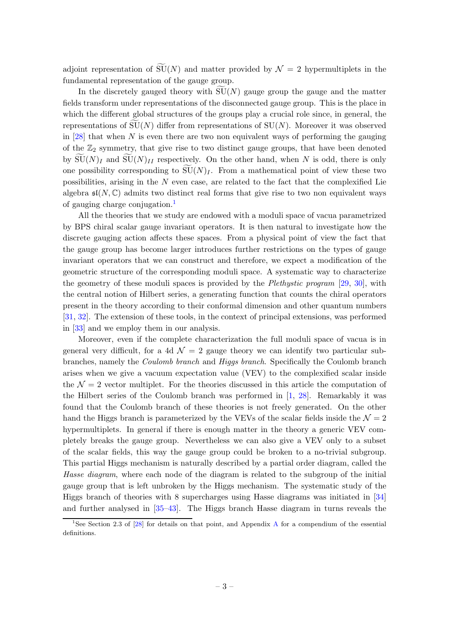adjoint representation of  $\widetilde{\mathrm{SU}}(N)$  and matter provided by  $\mathcal{N}=2$  hypermultiplets in the fundamental representation of the gauge group.

In the discretely gauged theory with  $SU(N)$  gauge group the gauge and the matter fields transform under representations of the disconnected gauge group. This is the place in which the different global structures of the groups play a crucial role since, in general, the representations of  $SU(N)$  differ from representations of  $SU(N)$ . Moreover it was observed in [\[28](#page-34-11)] that when N is even there are two non equivalent ways of performing the gauging of the  $\mathbb{Z}_2$  symmetry, that give rise to two distinct gauge groups, that have been denoted by  $SU(N)_I$  and  $SU(N)_{II}$  respectively. On the other hand, when N is odd, there is only one possibility corresponding to  $\widetilde{\mathrm{SU}}(N)_I$ . From a mathematical point of view these two possibilities, arising in the N even case, are related to the fact that the complexified Lie algebra  $\mathfrak{sl}(N,\mathbb{C})$  admits two distinct real forms that give rise to two non equivalent ways of gauging charge conjugation.<sup>[1](#page-3-0)</sup>

All the theories that we study are endowed with a moduli space of vacua parametrized by BPS chiral scalar gauge invariant operators. It is then natural to investigate how the discrete gauging action affects these spaces. From a physical point of view the fact that the gauge group has become larger introduces further restrictions on the types of gauge invariant operators that we can construct and therefore, we expect a modification of the geometric structure of the corresponding moduli space. A systematic way to characterize the geometry of these moduli spaces is provided by the *Plethystic program* [\[29](#page-34-12), [30](#page-34-13)], with the central notion of Hilbert series, a generating function that counts the chiral operators present in the theory according to their conformal dimension and other quantum numbers [\[31](#page-34-14), [32](#page-34-15)]. The extension of these tools, in the context of principal extensions, was performed in [\[33](#page-34-16)] and we employ them in our analysis.

Moreover, even if the complete characterization the full moduli space of vacua is in general very difficult, for a 4d  $\mathcal{N} = 2$  gauge theory we can identify two particular subbranches, namely the Coulomb branch and Higgs branch. Specifically the Coulomb branch arises when we give a vacuum expectation value (VEV) to the complexified scalar inside the  $\mathcal{N} = 2$  vector multiplet. For the theories discussed in this article the computation of the Hilbert series of the Coulomb branch was performed in [\[1,](#page-33-0) [28](#page-34-11)]. Remarkably it was found that the Coulomb branch of these theories is not freely generated. On the other hand the Higgs branch is parameterized by the VEVs of the scalar fields inside the  $\mathcal{N} = 2$ hypermultiplets. In general if there is enough matter in the theory a generic VEV completely breaks the gauge group. Nevertheless we can also give a VEV only to a subset of the scalar fields, this way the gauge group could be broken to a no-trivial subgroup. This partial Higgs mechanism is naturally described by a partial order diagram, called the Hasse diagram, where each node of the diagram is related to the subgroup of the initial gauge group that is left unbroken by the Higgs mechanism. The systematic study of the Higgs branch of theories with 8 supercharges using Hasse diagrams was initiated in [\[34\]](#page-35-0) and further analysed in [\[35](#page-35-1)[–43\]](#page-35-2). The Higgs branch Hasse diagram in turns reveals the

<span id="page-3-0"></span><sup>&</sup>lt;sup>1</sup>See Section 2.3 of [\[28](#page-34-11)] for details on that point, and [A](#page-29-0)ppendix A for a compendium of the essential definitions.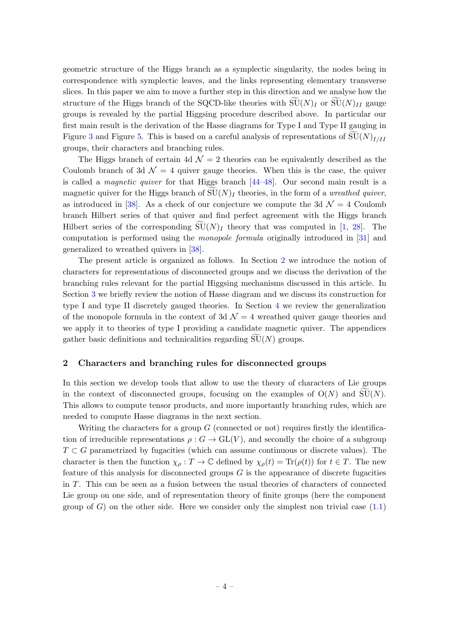geometric structure of the Higgs branch as a symplectic singularity, the nodes being in correspondence with symplectic leaves, and the links representing elementary transverse slices. In this paper we aim to move a further step in this direction and we analyse how the structure of the Higgs branch of the SQCD-like theories with  $SU(N)_I$  or  $SU(N)_{II}$  gauge groups is revealed by the partial Higgsing procedure described above. In particular our first main result is the derivation of the Hasse diagrams for Type I and Type II gauging in Figure [3](#page-17-0) and Figure [5.](#page-19-0) This is based on a careful analysis of representations of  $SU(N)_{I/II}$ groups, their characters and branching rules.

The Higgs branch of certain 4d  $\mathcal{N}=2$  theories can be equivalently described as the Coulomb branch of 3d  $\mathcal{N} = 4$  quiver gauge theories. When this is the case, the quiver is called a *magnetic quiver* for that Higgs branch  $[44-48]$ . Our second main result is a magnetic quiver for the Higgs branch of  $SU(N)_I$  theories, in the form of a *wreathed quiver*, as introduced in [\[38\]](#page-35-5). As a check of our conjecture we compute the 3d  $\mathcal{N}=4$  Coulomb branch Hilbert series of that quiver and find perfect agreement with the Higgs branch Hilbert series of the corresponding  $\overline{SU(N)}$  theory that was computed in [\[1,](#page-33-0) [28\]](#page-34-11). The computation is performed using the monopole formula originally introduced in [\[31](#page-34-14)] and generalized to wreathed quivers in [\[38](#page-35-5)].

The present article is organized as follows. In Section [2](#page-4-0) we introduce the notion of characters for representations of disconnected groups and we discuss the derivation of the branching rules relevant for the partial Higgsing mechanisms discussed in this article. In Section [3](#page-10-0) we briefly review the notion of Hasse diagram and we discuss its construction for type I and type II discretely gauged theories. In Section [4](#page-20-0) we review the generalization of the monopole formula in the context of 3d  $\mathcal{N}=4$  wreathed quiver gauge theories and we apply it to theories of type I providing a candidate magnetic quiver. The appendices gather basic definitions and technicalities regarding  $\widetilde{\mathrm{SU}}(N)$  groups.

#### <span id="page-4-0"></span>2 Characters and branching rules for disconnected groups

In this section we develop tools that allow to use the theory of characters of Lie groups in the context of disconnected groups, focusing on the examples of  $O(N)$  and  $SU(N)$ . This allows to compute tensor products, and more importantly branching rules, which are needed to compute Hasse diagrams in the next section.

Writing the characters for a group  $G$  (connected or not) requires firstly the identification of irreducible representations  $\rho : G \to GL(V)$ , and secondly the choice of a subgroup  $T \subset G$  parametrized by fugacities (which can assume continuous or discrete values). The character is then the function  $\chi_{\rho}: T \to \mathbb{C}$  defined by  $\chi_{\rho}(t) = \text{Tr}(\rho(t))$  for  $t \in T$ . The new feature of this analysis for disconnected groups  $G$  is the appearance of discrete fugacities in T. This can be seen as a fusion between the usual theories of characters of connected Lie group on one side, and of representation theory of finite groups (here the component group of  $G$ ) on the other side. Here we consider only the simplest non trivial case  $(1.1)$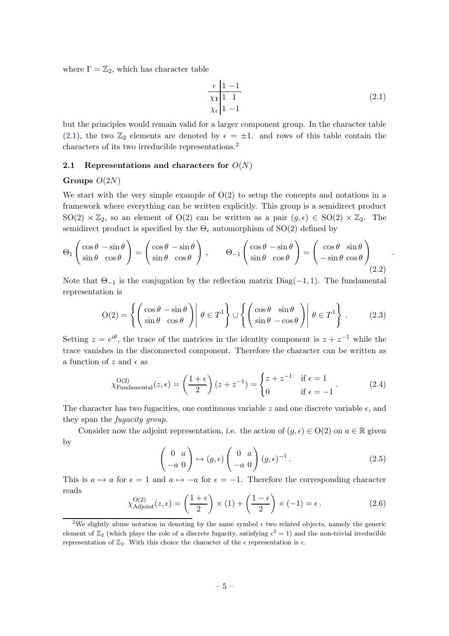where  $\Gamma = \mathbb{Z}_2$ , which has character table

<span id="page-5-1"></span>
$$
\frac{\epsilon}{\chi_1} \frac{1 - 1}{1 - 1} \tag{2.1}
$$
\n
$$
\chi_{\epsilon} \frac{1}{1 - 1}
$$

.

but the principles would remain valid for a larger component group. In the character table [\(2.1\)](#page-5-1), the two  $\mathbb{Z}_2$  elements are denoted by  $\epsilon = \pm 1$ . and rows of this table contain the characters of its two irreducible representations.[2](#page-5-2)

#### <span id="page-5-0"></span>2.1 Representations and characters for  $O(N)$

#### Groups  $O(2N)$

We start with the very simple example of  $O(2)$  to setup the concepts and notations in a framework where everything can be written explicitly. This group is a semidirect product  $SO(2) \rtimes \mathbb{Z}_2$ , so an element of  $O(2)$  can be written as a pair  $(g, \epsilon) \in SO(2) \times \mathbb{Z}_2$ . The semidirect product is specified by the  $\Theta_{\epsilon}$  automorphism of SO(2) defined by

$$
\Theta_1 \begin{pmatrix} \cos \theta & -\sin \theta \\ \sin \theta & \cos \theta \end{pmatrix} = \begin{pmatrix} \cos \theta & -\sin \theta \\ \sin \theta & \cos \theta \end{pmatrix}, \qquad \Theta_{-1} \begin{pmatrix} \cos \theta & -\sin \theta \\ \sin \theta & \cos \theta \end{pmatrix} = \begin{pmatrix} \cos \theta & \sin \theta \\ -\sin \theta & \cos \theta \end{pmatrix}
$$
(2.2)

Note that  $\Theta_{-1}$  is the conjugation by the reflection matrix Diag(-1, 1). The fundamental representation is

$$
O(2) = \left\{ \begin{pmatrix} \cos \theta & -\sin \theta \\ \sin \theta & \cos \theta \end{pmatrix} \middle| \ \theta \in T^1 \right\} \cup \left\{ \begin{pmatrix} \cos \theta & \sin \theta \\ \sin \theta & -\cos \theta \end{pmatrix} \middle| \ \theta \in T^1 \right\}.
$$
 (2.3)

Setting  $z = e^{i\theta}$ , the trace of the matrices in the identity component is  $z + z^{-1}$  while the trace vanishes in the disconnected component. Therefore the character can be written as a function of z and  $\epsilon$  as

$$
\chi_{\text{Fundamental}}^{O(2)}(z,\epsilon) = \left(\frac{1+\epsilon}{2}\right)(z+z^{-1}) = \begin{cases} z+z^{-1} & \text{if } \epsilon = 1\\ 0 & \text{if } \epsilon = -1 \end{cases} \tag{2.4}
$$

The character has two fugacities, one continuous variable z and one discrete variable  $\epsilon$ , and they span the fugacity group.

Consider now the adjoint representation, i.e. the action of  $(g, \epsilon) \in O(2)$  on  $a \in \mathbb{R}$  given by

$$
\begin{pmatrix} 0 & a \\ -a & 0 \end{pmatrix} \mapsto (g, \epsilon) \begin{pmatrix} 0 & a \\ -a & 0 \end{pmatrix} (g, \epsilon)^{-1} . \tag{2.5}
$$

This is  $a \mapsto a$  for  $\epsilon = 1$  and  $a \mapsto -a$  for  $\epsilon = -1$ . Therefore the corresponding character reads

$$
\chi_{\text{Adjoint}}^{O(2)}(z,\epsilon) = \left(\frac{1+\epsilon}{2}\right) \times (1) + \left(\frac{1-\epsilon}{2}\right) \times (-1) = \epsilon.
$$
 (2.6)

<span id="page-5-2"></span><sup>&</sup>lt;sup>2</sup>We slightly abuse notation in denoting by the same symbol  $\epsilon$  two related objects, namely the generic element of  $\mathbb{Z}_2$  (which plays the role of a discrete fugacity, satisfying  $\epsilon^2 = 1$ ) and the non-trivial irreducible representation of  $\mathbb{Z}_2$ . With this choice the character of the  $\epsilon$  representation is  $\epsilon$ .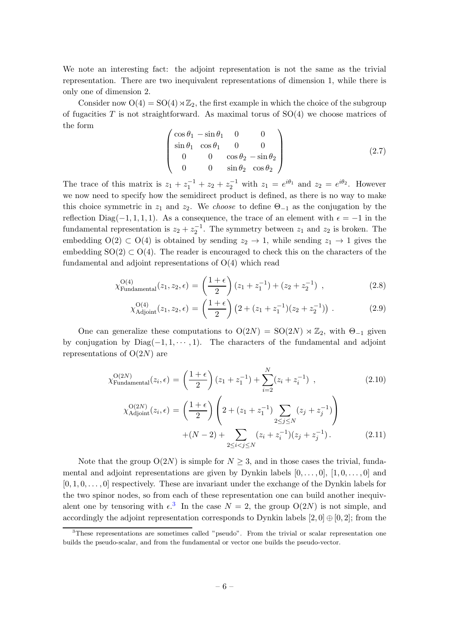We note an interesting fact: the adjoint representation is not the same as the trivial representation. There are two inequivalent representations of dimension 1, while there is only one of dimension 2.

Consider now  $O(4) = SO(4) \rtimes \mathbb{Z}_2$ , the first example in which the choice of the subgroup of fugacities T is not straightforward. As maximal torus of  $SO(4)$  we choose matrices of the form

$$
\begin{pmatrix}\n\cos \theta_1 - \sin \theta_1 & 0 & 0 \\
\sin \theta_1 & \cos \theta_1 & 0 & 0 \\
0 & 0 & \cos \theta_2 - \sin \theta_2 \\
0 & 0 & \sin \theta_2 & \cos \theta_2\n\end{pmatrix}
$$
\n(2.7)

The trace of this matrix is  $z_1 + z_1^{-1} + z_2 + z_2^{-1}$  with  $z_1 = e^{i\theta_1}$  and  $z_2 = e^{i\theta_2}$ . However we now need to specify how the semidirect product is defined, as there is no way to make this choice symmetric in  $z_1$  and  $z_2$ . We choose to define  $\Theta_{-1}$  as the conjugation by the reflection Diag(-1, 1, 1, 1). As a consequence, the trace of an element with  $\epsilon = -1$  in the fundamental representation is  $z_2 + z_2^{-1}$ . The symmetry between  $z_1$  and  $z_2$  is broken. The embedding  $O(2) \subset O(4)$  is obtained by sending  $z_2 \to 1$ , while sending  $z_1 \to 1$  gives the embedding  $SO(2) \subset O(4)$ . The reader is encouraged to check this on the characters of the fundamental and adjoint representations of O(4) which read

$$
\chi_{\text{Fundamental}}^{O(4)}(z_1, z_2, \epsilon) = \left(\frac{1+\epsilon}{2}\right)(z_1 + z_1^{-1}) + (z_2 + z_2^{-1}) \quad , \tag{2.8}
$$

$$
\chi_{\text{Adjoint}}^{O(4)}(z_1, z_2, \epsilon) = \left(\frac{1+\epsilon}{2}\right) \left(2 + (z_1 + z_1^{-1})(z_2 + z_2^{-1})\right). \tag{2.9}
$$

One can generalize these computations to  $O(2N) = SO(2N) \rtimes \mathbb{Z}_2$ , with  $\Theta_{-1}$  given by conjugation by  $Diag(-1, 1, \dots, 1)$ . The characters of the fundamental and adjoint representations of  $O(2N)$  are

<span id="page-6-1"></span>
$$
\chi_{\text{Fundamental}}^{O(2N)}(z_i, \epsilon) = \left(\frac{1+\epsilon}{2}\right)(z_1 + z_1^{-1}) + \sum_{i=2}^{N} (z_i + z_i^{-1}),
$$
\n
$$
\chi_{\text{Adjoint}}^{O(2N)}(z_i, \epsilon) = \left(\frac{1+\epsilon}{2}\right) \left(2 + (z_1 + z_1^{-1}) \sum_{2 \le j \le N} (z_j + z_j^{-1})\right)
$$
\n
$$
+(N-2) + \sum_{2 \le i < j \le N} (z_i + z_i^{-1})(z_j + z_j^{-1}).
$$
\n(2.11)

Note that the group  $O(2N)$  is simple for  $N \geq 3$ , and in those cases the trivial, fundamental and adjoint representations are given by Dynkin labels  $[0, \ldots, 0], [1, 0, \ldots, 0]$  and  $[0, 1, 0, \ldots, 0]$  respectively. These are invariant under the exchange of the Dynkin labels for the two spinor nodes, so from each of these representation one can build another inequivalent one by tensoring with  $\epsilon$ <sup>[3](#page-6-0)</sup>. In the case  $N = 2$ , the group  $O(2N)$  is not simple, and accordingly the adjoint representation corresponds to Dynkin labels  $[2, 0] \oplus [0, 2]$ ; from the

<span id="page-6-0"></span><sup>&</sup>lt;sup>3</sup>These representations are sometimes called "pseudo". From the trivial or scalar representation one builds the pseudo-scalar, and from the fundamental or vector one builds the pseudo-vector.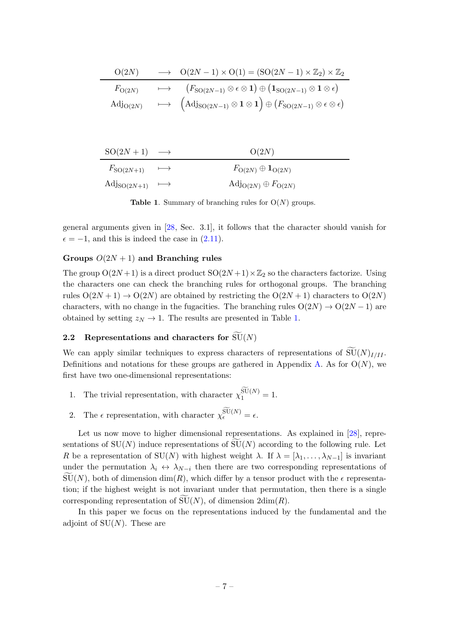| O(2N)                           | $\longrightarrow$ $O(2N-1) \times O(1) = (SO(2N-1) \times \mathbb{Z}_2) \times \mathbb{Z}_2$                                                                               |
|---------------------------------|----------------------------------------------------------------------------------------------------------------------------------------------------------------------------|
| $F_{\mathrm{O}(2N)}$            | $\mapsto$ $(F_{\mathrm{SO}(2N-1)} \otimes \epsilon \otimes \mathbf{1}) \oplus (\mathbf{1}_{\mathrm{SO}(2N-1)} \otimes \mathbf{1} \otimes \epsilon)$                        |
| $\mathrm{Adj}_{\mathrm{O}(2N)}$ | $\longmapsto\quad \Big(\mathrm{Adj}_{\mathrm{SO}(2N-1)}\otimes \mathbf{1} \otimes \mathbf{1}\Big) \oplus \big(F_{\mathrm{SO}(2N-1)}\otimes \epsilon \otimes \epsilon\big)$ |

| $SO(2N+1) \longrightarrow$                           | O(2N)                                                  |
|------------------------------------------------------|--------------------------------------------------------|
| $F_{\text{SO}(2N+1)} \longrightarrow$                | $F_{\mathrm{O}(2N)}\oplus \mathbf{1}_{\mathrm{O}(2N)}$ |
| $\mathrm{Adj}_{\mathrm{SO}(2N+1)} \quad \longmapsto$ | $\text{Adj}_{\text{O}(2N)} \oplus F_{\text{O}(2N)}$    |

<span id="page-7-1"></span>**Table 1.** Summary of branching rules for  $O(N)$  groups.

general arguments given in [\[28,](#page-34-11) Sec. 3.1], it follows that the character should vanish for  $\epsilon = -1$ , and this is indeed the case in  $(2.11)$ .

#### Groups  $O(2N + 1)$  and Branching rules

The group  $O(2N+1)$  is a direct product  $SO(2N+1)\times\mathbb{Z}_2$  so the characters factorize. Using the characters one can check the branching rules for orthogonal groups. The branching rules  $O(2N+1) \rightarrow O(2N)$  are obtained by restricting the  $O(2N+1)$  characters to  $O(2N)$ characters, with no change in the fugacities. The branching rules  $O(2N) \rightarrow O(2N-1)$  are obtained by setting  $z_N \to 1$ . The results are presented in Table [1.](#page-7-1)

# <span id="page-7-0"></span>2.2 Representations and characters for  $\widetilde{\mathrm{SU}}(N)$

We can apply similar techniques to express characters of representations of  $\widetilde{\mathrm{SU}}(N)_{I/II}$ . Definitions and notations for these groups are gathered in Appendix [A.](#page-29-0) As for  $O(N)$ , we first have two one-dimensional representations:

- 1. The trivial representation, with character  $\chi_1^{\widetilde{\mathrm{SU}}(N)} = 1$ .
- 2. The  $\epsilon$  representation, with character  $\chi_{\epsilon}^{\widetilde{\mathrm{SU}}(N)} = \epsilon$ .

Let us now move to higher dimensional representations. As explained in [\[28\]](#page-34-11), representations of  $SU(N)$  induce representations of  $SU(N)$  according to the following rule. Let R be a representation of SU(N) with highest weight  $\lambda$ . If  $\lambda = [\lambda_1, \ldots, \lambda_{N-1}]$  is invariant under the permutation  $\lambda_i \leftrightarrow \lambda_{N-i}$  then there are two corresponding representations of  $SU(N)$ , both of dimension dim(R), which differ by a tensor product with the  $\epsilon$  representation; if the highest weight is not invariant under that permutation, then there is a single corresponding representation of  $SU(N)$ , of dimension  $2dim(R)$ .

In this paper we focus on the representations induced by the fundamental and the adjoint of  $SU(N)$ . These are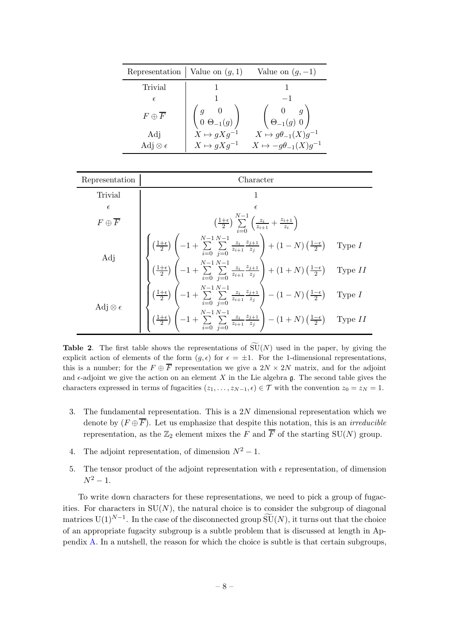| Representation   Value on $(g, 1)$ |                                                                                 | Value on $(g, -1)$                                                       |
|------------------------------------|---------------------------------------------------------------------------------|--------------------------------------------------------------------------|
| Trivial                            |                                                                                 |                                                                          |
| $\epsilon$                         |                                                                                 |                                                                          |
| $F \oplus F$                       | $\left(\begin{smallmatrix} g & 0 \ 0 & \Theta_{-1}(g) \end{smallmatrix}\right)$ | $\left(\begin{array}{cc} 0 & g \\ \Theta_{-1}(g) & 0 \end{array}\right)$ |
| Adj                                | $X \mapsto gXg^{-1}$                                                            | $X \mapsto g\theta_{-1}(X)g^{-1}$                                        |
| Adj $\otimes \epsilon$             | $X \mapsto gXg^{-1}$                                                            | $X \mapsto -g\theta_{-1}(X)g^{-1}$                                       |



<span id="page-8-0"></span>**Table 2.** The first table shows the representations of  $\widetilde{\mathrm{SU}}(N)$  used in the paper, by giving the explicit action of elements of the form  $(q, \epsilon)$  for  $\epsilon = \pm 1$ . For the 1-dimensional representations, this is a number; for the  $F \oplus \overline{F}$  representation we give a  $2N \times 2N$  matrix, and for the adjoint and  $\epsilon$ -adjoint we give the action on an element X in the Lie algebra g. The second table gives the characters expressed in terms of fugacities  $(z_1, \ldots, z_{N-1}, \epsilon) \in \mathcal{T}$  with the convention  $z_0 = z_N = 1$ .

- 3. The fundamental representation. This is a 2N dimensional representation which we denote by  $(F \oplus \overline{F})$ . Let us emphasize that despite this notation, this is an *irreducible* representation, as the  $\mathbb{Z}_2$  element mixes the F and  $\overline{F}$  of the starting SU(N) group.
- 4. The adjoint representation, of dimension  $N^2 1$ .
- 5. The tensor product of the adjoint representation with  $\epsilon$  representation, of dimension  $N^2 - 1$ .

To write down characters for these representations, we need to pick a group of fugacities. For characters in  $SU(N)$ , the natural choice is to consider the subgroup of diagonal matrices  $U(1)^{N-1}$ . In the case of the disconnected group  $\widetilde{SU}(N)$ , it turns out that the choice of an appropriate fugacity subgroup is a subtle problem that is discussed at length in Appendix [A.](#page-29-0) In a nutshell, the reason for which the choice is subtle is that certain subgroups,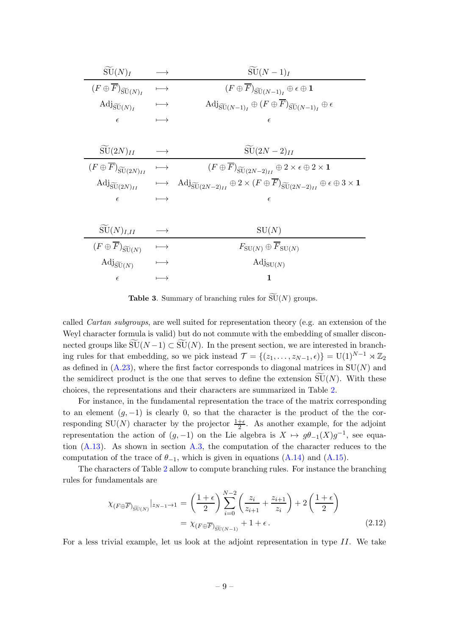| $\overline{\mathrm{SU}(N)}$ I                              |               | $SU(N-1)I$                                                                                                                                                                  |
|------------------------------------------------------------|---------------|-----------------------------------------------------------------------------------------------------------------------------------------------------------------------------|
| $(F\oplus\overline{F})_{\widetilde{\mathrm{SU}}(N)_I}$     | $\longmapsto$ | $(F\oplus\overline{F})_{\widetilde{\mathrm{SU}}(N-1)_I}\oplus\epsilon\oplus\mathbf{1}$                                                                                      |
| $\mathrm{Adj}_{\widetilde{\mathrm{SU}}(N)_I}$              | $\longmapsto$ | $\mathrm{Adj}_{\widetilde{\mathrm{SU}}(N-1)_I} \oplus (F \oplus \overline{F})_{\widetilde{\mathrm{SU}}(N-1)_I} \oplus \epsilon$                                             |
| $\epsilon$                                                 |               | $\epsilon$                                                                                                                                                                  |
|                                                            |               |                                                                                                                                                                             |
| $\widetilde{\mathrm{SU}}(2N)_{II}$                         |               | $SU(2N-2)_{II}$                                                                                                                                                             |
| $(F\oplus\overline{F})_{\widetilde{\mathrm{SU}}(2N)_{II}}$ | $\longmapsto$ | $(F \oplus \overline{F})_{\widetilde{\mathrm{SU}}(2N-2)_{II}} \oplus 2 \times \epsilon \oplus 2 \times \mathbf{1}$                                                          |
| $\mathrm{Adj}_{\widetilde{\mathrm{SU}}(2N)_{II}}$          | $\longmapsto$ | $\mathrm{Adj}_{\widetilde{\mathrm{SU}}(2N-2)_{II}} \oplus 2 \times (F \oplus \overline{F})_{\widetilde{\mathrm{SU}}(2N-2)_{II}} \oplus \epsilon \oplus 3 \times \mathbf{1}$ |
| $\epsilon$                                                 | $\longmapsto$ | $\epsilon$                                                                                                                                                                  |
|                                                            |               |                                                                                                                                                                             |
| $\widetilde{\mathrm{SU}}(N)_{I,II}$                        |               | SU(N)                                                                                                                                                                       |
| $(F\oplus\overline{F})_{\widetilde{\mathrm{SU}}(N)}$       | $\longmapsto$ | $F_{\text{SU}(N)}\oplus\overline{F}_{\text{SU}(N)}$                                                                                                                         |
| $\mathrm{Adj}_{\widetilde{\mathrm{SU}}(N)}$                | $\longmapsto$ | $\mathrm{Adj}_{\mathrm{SU}(N)}$                                                                                                                                             |
| $\epsilon$                                                 | $\longmapsto$ | 1                                                                                                                                                                           |

<span id="page-9-0"></span>**Table 3.** Summary of branching rules for  $\widetilde{\mathrm{SU}}(N)$  groups.

called Cartan subgroups, are well suited for representation theory (e.g. an extension of the Weyl character formula is valid) but do not commute with the embedding of smaller disconnected groups like  $\widetilde{\mathrm{SU}}(N-1) \subset \widetilde{\mathrm{SU}}(N)$ . In the present section, we are interested in branching rules for that embedding, so we pick instead  $\mathcal{T} = \{(z_1, \ldots, z_{N-1}, \epsilon)\} = U(1)^{N-1} \rtimes \mathbb{Z}_2$ as defined in  $(A.23)$ , where the first factor corresponds to diagonal matrices in  $SU(N)$  and the semidirect product is the one that serves to define the extension  $SU(N)$ . With these choices, the representations and their characters are summarized in Table [2.](#page-8-0)

For instance, in the fundamental representation the trace of the matrix corresponding to an element  $(g, -1)$  is clearly 0, so that the character is the product of the the corresponding SU(N) character by the projector  $\frac{1+\epsilon}{2}$ . As another example, for the adjoint representation the action of  $(g, -1)$  on the Lie algebra is  $X \mapsto g\theta_{-1}(X)g^{-1}$ , see equation  $(A.13)$ . As shown in section [A.3,](#page-32-0) the computation of the character reduces to the computation of the trace of  $\theta_{-1}$ , which is given in equations [\(A.14\)](#page-30-1) and [\(A.15\)](#page-30-2).

The characters of Table [2](#page-8-0) allow to compute branching rules. For instance the branching rules for fundamentals are

$$
\chi_{(F \oplus \overline{F})_{\widetilde{\mathrm{SU}}(N)}}|_{z_{N-1} \to 1} = \left(\frac{1+\epsilon}{2}\right) \sum_{i=0}^{N-2} \left(\frac{z_i}{z_{i+1}} + \frac{z_{i+1}}{z_i}\right) + 2\left(\frac{1+\epsilon}{2}\right)
$$

$$
= \chi_{(F \oplus \overline{F})_{\widetilde{\mathrm{SU}}(N-1)}} + 1 + \epsilon. \tag{2.12}
$$

For a less trivial example, let us look at the adjoint representation in type  $II$ . We take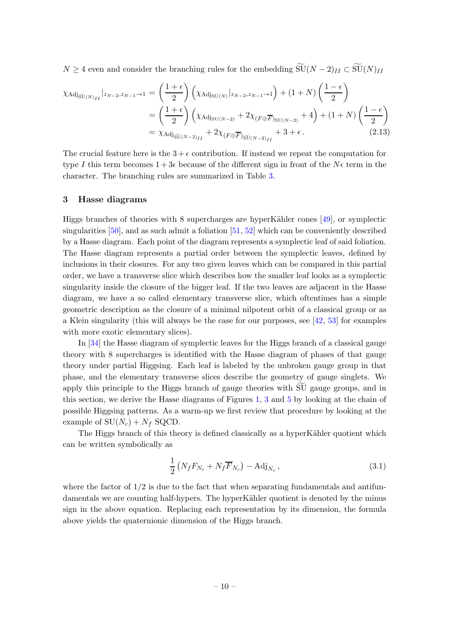$N \geq 4$  even and consider the branching rules for the embedding  $\widetilde{\mathrm{SU}}(N-2)_{II} \subset \widetilde{\mathrm{SU}}(N)_{II}$ 

$$
\chi_{\text{Adj}_{\widetilde{\text{SU}}(N)_{II}}}|_{z_{N-2},z_{N-1}\to1} = \left(\frac{1+\epsilon}{2}\right) \left(\chi_{\text{Adj}_{\text{SU}(N)}}|_{z_{N-2},z_{N-1}\to1}\right) + (1+N) \left(\frac{1-\epsilon}{2}\right)
$$

$$
= \left(\frac{1+\epsilon}{2}\right) \left(\chi_{\text{Adj}_{\text{SU}(N-2)}} + 2\chi_{(F \oplus \overline{F})_{\text{SU}(N-2)}} + 4\right) + (1+N) \left(\frac{1-\epsilon}{2}\right)
$$

$$
= \chi_{\text{Adj}_{\widetilde{\text{SU}}(N-2)_{II}}} + 2\chi_{(F \oplus \overline{F})_{\widetilde{\text{SU}(N-2)_{II}}} + 3+\epsilon.
$$
 (2.13)

The crucial feature here is the  $3 + \epsilon$  contribution. If instead we repeat the computation for type I this term becomes  $1+3\epsilon$  because of the different sign in front of the  $N\epsilon$  term in the character. The branching rules are summarized in Table [3.](#page-9-0)

#### <span id="page-10-0"></span>3 Hasse diagrams

Higgs branches of theories with 8 supercharges are hyperKähler cones  $[49]$ , or symplectic singularities  $[50]$ , and as such admit a foliation  $[51, 52]$  $[51, 52]$  $[51, 52]$  which can be conveniently described by a Hasse diagram. Each point of the diagram represents a symplectic leaf of said foliation. The Hasse diagram represents a partial order between the symplectic leaves, defined by inclusions in their closures. For any two given leaves which can be compared in this partial order, we have a transverse slice which describes how the smaller leaf looks as a symplectic singularity inside the closure of the bigger leaf. If the two leaves are adjacent in the Hasse diagram, we have a so called elementary transverse slice, which oftentimes has a simple geometric description as the closure of a minimal nilpotent orbit of a classical group or as a Klein singularity (this will always be the case for our purposes, see [\[42,](#page-35-10) [53](#page-35-11)] for examples with more exotic elementary slices).

In [\[34\]](#page-35-0) the Hasse diagram of symplectic leaves for the Higgs branch of a classical gauge theory with 8 supercharges is identified with the Hasse diagram of phases of that gauge theory under partial Higgsing. Each leaf is labeled by the unbroken gauge group in that phase, and the elementary transverse slices describe the geometry of gauge singlets. We apply this principle to the Higgs branch of gauge theories with SU gauge groups, and in this section, we derive the Hasse diagrams of Figures [1,](#page-14-0) [3](#page-17-0) and [5](#page-19-0) by looking at the chain of possible Higgsing patterns. As a warm-up we first review that procedure by looking at the example of  $SU(N_c) + N_f$  SQCD.

The Higgs branch of this theory is defined classically as a hyperKähler quotient which can be written symbolically as

$$
\frac{1}{2}\left(N_f F_{N_c} + N_f \overline{F}_{N_c}\right) - \text{Adj}_{N_c},\tag{3.1}
$$

where the factor of  $1/2$  is due to the fact that when separating fundamentals and antifundamentals we are counting half-hypers. The hyperKähler quotient is denoted by the minus sign in the above equation. Replacing each representation by its dimension, the formula above yields the quaternionic dimension of the Higgs branch.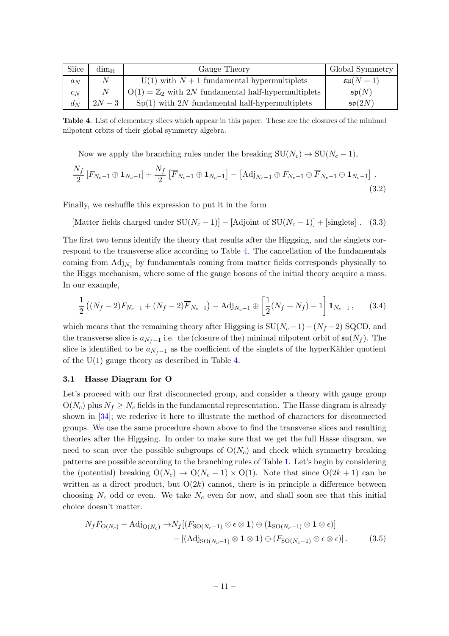| Slice | $\dim_{\mathbb{H}}$ | Gauge Theory                                                   | Global Symmetry      |
|-------|---------------------|----------------------------------------------------------------|----------------------|
| $a_N$ | $\overline{N}$      | $U(1)$ with $N+1$ fundamental hypermultiplets                  | $\mathfrak{su}(N+1)$ |
| $c_N$ | $\boldsymbol{N}$    | $O(1) = \mathbb{Z}_2$ with 2N fundamental half-hypermultiplets | $\mathfrak{sp}(N)$   |
| $d_N$ | $2N-3$              | $Sp(1)$ with 2N fundamental half-hypermultiplets               | $\mathfrak{so}(2N)$  |

Table 4. List of elementary slices which appear in this paper. These are the closures of the minimal nilpotent orbits of their global symmetry algebra.

<span id="page-11-1"></span>Now we apply the branching rules under the breaking  $SU(N_c) \rightarrow SU(N_c - 1)$ ,

$$
\frac{N_f}{2} \left[ F_{N_c-1} \oplus \mathbf{1}_{N_c-1} \right] + \frac{N_f}{2} \left[ \overline{F}_{N_c-1} \oplus \mathbf{1}_{N_c-1} \right] - \left[ \text{Adj}_{N_c-1} \oplus F_{N_c-1} \oplus \overline{F}_{N_c-1} \oplus \mathbf{1}_{N_c-1} \right].
$$
\n(3.2)

Finally, we reshuffle this expression to put it in the form

[Matter fields charged under  $SU(N_c-1)] - [Adjoint of SU(N_c-1)] + [singlets]$ . (3.3)

The first two terms identify the theory that results after the Higgsing, and the singlets correspond to the transverse slice according to Table [4.](#page-11-1) The cancellation of the fundamentals coming from  $\text{Adj}_{N_c}$  by fundamentals coming from matter fields corresponds physically to the Higgs mechanism, where some of the gauge bosons of the initial theory acquire a mass. In our example,

$$
\frac{1}{2}\left((N_f-2)F_{N_c-1}+(N_f-2)\overline{F}_{N_c-1}\right)-\text{Adj}_{N_c-1}\oplus\left[\frac{1}{2}(N_f+N_f)-1\right]\mathbf{1}_{N_c-1},\qquad(3.4)
$$

which means that the remaining theory after Higgsing is  $SU(N_c-1) + (N_f-2)$  SQCD, and the transverse slice is  $a_{N_f-1}$  i.e. the (closure of the) minimal nilpotent orbit of  $\mathfrak{su}(N_f)$ . The slice is identified to be  $a_{N_f-1}$  as the coefficient of the singlets of the hyperKähler quotient of the  $U(1)$  gauge theory as described in Table [4.](#page-11-1)

#### <span id="page-11-0"></span>3.1 Hasse Diagram for O

Let's proceed with our first disconnected group, and consider a theory with gauge group  $O(N_c)$  plus  $N_f \geq N_c$  fields in the fundamental representation. The Hasse diagram is already shown in [\[34](#page-35-0)]; we rederive it here to illustrate the method of characters for disconnected groups. We use the same procedure shown above to find the transverse slices and resulting theories after the Higgsing. In order to make sure that we get the full Hasse diagram, we need to scan over the possible subgroups of  $O(N_c)$  and check which symmetry breaking patterns are possible according to the branching rules of Table [1.](#page-7-1) Let's begin by considering the (potential) breaking  $O(N_c) \rightarrow O(N_c-1) \times O(1)$ . Note that since  $O(2k+1)$  can be written as a direct product, but  $O(2k)$  cannot, there is in principle a difference between choosing  $N_c$  odd or even. We take  $N_c$  even for now, and shall soon see that this initial choice doesn't matter.

<span id="page-11-2"></span>
$$
N_f F_{\mathcal{O}(N_c)} - \mathrm{Adj}_{\mathcal{O}(N_c)} \to N_f [(F_{\mathcal{SO}(N_c-1)} \otimes \epsilon \otimes \mathbf{1}) \oplus (\mathbf{1}_{\mathcal{SO}(N_c-1)} \otimes \mathbf{1} \otimes \epsilon)] - [(\mathrm{Adj}_{\mathcal{SO}(N_c-1)} \otimes \mathbf{1} \otimes \mathbf{1}) \oplus (F_{\mathcal{SO}(N_c-1)} \otimes \epsilon \otimes \epsilon)]. \tag{3.5}
$$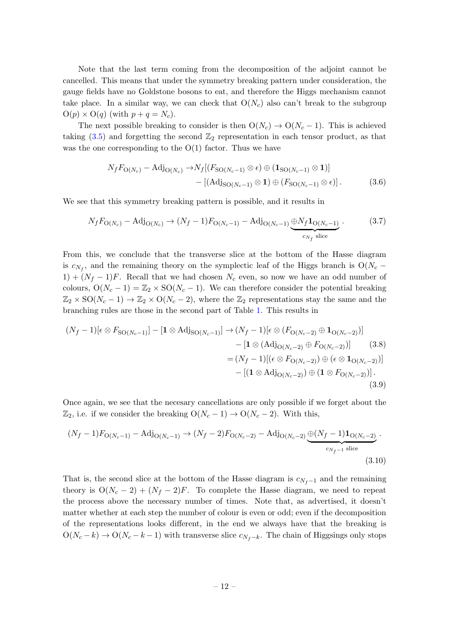Note that the last term coming from the decomposition of the adjoint cannot be cancelled. This means that under the symmetry breaking pattern under consideration, the gauge fields have no Goldstone bosons to eat, and therefore the Higgs mechanism cannot take place. In a similar way, we can check that  $O(N_c)$  also can't break to the subgroup  $O(p) \times O(q)$  (with  $p + q = N_c$ ).

The next possible breaking to consider is then  $O(N_c) \rightarrow O(N_c - 1)$ . This is achieved taking  $(3.5)$  and forgetting the second  $\mathbb{Z}_2$  representation in each tensor product, as that was the one corresponding to the  $O(1)$  factor. Thus we have

$$
N_f F_{\mathcal{O}(N_c)} - \text{Adj}_{\mathcal{O}(N_c)} \to N_f \left[ \left( F_{\mathcal{SO}(N_c-1)} \otimes \epsilon \right) \oplus \left( \mathbf{1}_{\mathcal{SO}(N_c-1)} \otimes \mathbf{1} \right) \right] - \left[ \left( \text{Adj}_{\mathcal{SO}(N_c-1)} \otimes \mathbf{1} \right) \oplus \left( F_{\mathcal{SO}(N_c-1)} \otimes \epsilon \right) \right]. \tag{3.6}
$$

We see that this symmetry breaking pattern is possible, and it results in

$$
N_f F_{\mathcal{O}(N_c)} - \mathcal{A} \mathcal{d}_{\mathcal{O}(N_c)} \to (N_f - 1) F_{\mathcal{O}(N_c - 1)} - \mathcal{A} \mathcal{d}_{\mathcal{O}(N_c - 1)} \underbrace{\oplus N_f \mathbf{1}_{\mathcal{O}(N_c - 1)}}_{c_{N_f} \text{ slice}}.
$$
(3.7)

From this, we conclude that the transverse slice at the bottom of the Hasse diagram is  $c_{N_f}$ , and the remaining theory on the symplectic leaf of the Higgs branch is  $O(N_c 1 + (N_f - 1)F$ . Recall that we had chosen  $N_c$  even, so now we have an odd number of colours,  $O(N_c - 1) = \mathbb{Z}_2 \times SO(N_c - 1)$ . We can therefore consider the potential breaking  $\mathbb{Z}_2 \times SO(N_c-1) \to \mathbb{Z}_2 \times O(N_c-2)$ , where the  $\mathbb{Z}_2$  representations stay the same and the branching rules are those in the second part of Table [1.](#page-7-1) This results in

$$
(N_f - 1)[\epsilon \otimes F_{\text{SO}(N_c-1)}] - [\mathbf{1} \otimes \text{Adj}_{\text{SO}(N_c-1)}] \rightarrow (N_f - 1)[\epsilon \otimes (F_{\text{O}(N_c-2)} \oplus \mathbf{1}_{\text{O}(N_c-2)})]
$$
  
\n
$$
- [\mathbf{1} \otimes (\text{Adj}_{\text{O}(N_c-2)} \oplus F_{\text{O}(N_c-2)})] \qquad (3.8)
$$
  
\n
$$
= (N_f - 1)[(\epsilon \otimes F_{\text{O}(N_c-2)}) \oplus (\epsilon \otimes \mathbf{1}_{\text{O}(N_c-2)})]
$$
  
\n
$$
- [(\mathbf{1} \otimes \text{Adj}_{\text{O}(N_c-2)}) \oplus (\mathbf{1} \otimes F_{\text{O}(N_c-2)})].
$$
  
\n(3.9)

Once again, we see that the necesary cancellations are only possible if we forget about the  $\mathbb{Z}_2$ , i.e. if we consider the breaking  $O(N_c - 1) \rightarrow O(N_c - 2)$ . With this,

$$
(N_f - 1)F_{O(N_c - 1)} - \text{Adj}_{O(N_c - 1)} \to (N_f - 2)F_{O(N_c - 2)} - \text{Adj}_{O(N_c - 2)} \underbrace{\oplus (N_f - 1)\mathbf{1}_{O(N_c - 2)}}_{c_{N_f - 1} \text{ slice}}.
$$
\n(3.10)

That is, the second slice at the bottom of the Hasse diagram is  $c_{N_f-1}$  and the remaining theory is  $O(N_c-2) + (N_f-2)F$ . To complete the Hasse diagram, we need to repeat the process above the necessary number of times. Note that, as advertised, it doesn't matter whether at each step the number of colour is even or odd; even if the decomposition of the representations looks different, in the end we always have that the breaking is  $O(N_c - k) \rightarrow O(N_c - k - 1)$  with transverse slice  $c_{N_f - k}$ . The chain of Higgsings only stops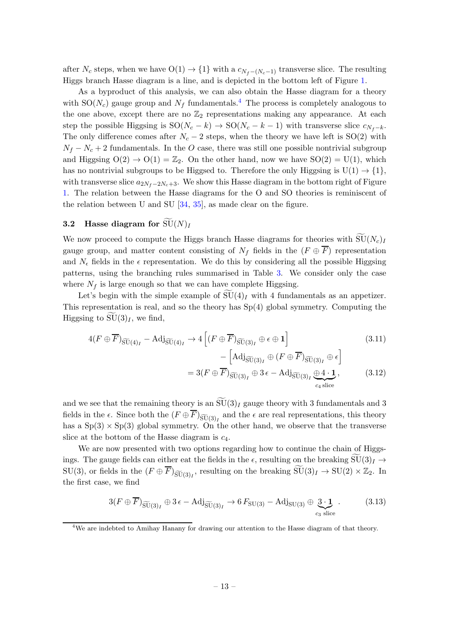after  $N_c$  steps, when we have  $O(1) \rightarrow \{1\}$  with a  $c_{N_f - (N_c - 1)}$  transverse slice. The resulting Higgs branch Hasse diagram is a line, and is depicted in the bottom left of Figure [1.](#page-14-0)

As a byproduct of this analysis, we can also obtain the Hasse diagram for a theory with  $SO(N_c)$  gauge group and  $N_f$  fundamentals.<sup>[4](#page-13-1)</sup> The process is completely analogous to the one above, except there are no  $\mathbb{Z}_2$  representations making any appearance. At each step the possible Higgsing is  $SO(N_c - k) \rightarrow SO(N_c - k - 1)$  with transverse slice  $c_{N_f-k}$ . The only difference comes after  $N_c - 2$  steps, when the theory we have left is SO(2) with  $N_f - N_c + 2$  fundamentals. In the O case, there was still one possible nontrivial subgroup and Higgsing  $O(2) \rightarrow O(1) = \mathbb{Z}_2$ . On the other hand, now we have  $SO(2) = U(1)$ , which has no nontrivial subgroups to be Higgsed to. Therefore the only Higgsing is  $U(1) \rightarrow \{1\}$ , with transverse slice  $a_{2N_f-2N_c+3}$ . We show this Hasse diagram in the bottom right of Figure [1.](#page-14-0) The relation between the Hasse diagrams for the O and SO theories is reminiscent of the relation between U and SU [\[34](#page-35-0), [35\]](#page-35-1), as made clear on the figure.

# <span id="page-13-0"></span>**3.2** Hasse diagram for  $\widetilde{\mathrm{SU}}(N)_I$

We now proceed to compute the Higgs branch Hasse diagrams for theories with  $\widetilde{\mathrm{SU}}(N_c)$ gauge group, and matter content consisting of  $N_f$  fields in the  $(F \oplus \overline{F})$  representation and  $N_{\epsilon}$  fields in the  $\epsilon$  representation. We do this by considering all the possible Higgsing patterns, using the branching rules summarised in Table [3.](#page-9-0) We consider only the case where  $N_f$  is large enough so that we can have complete Higgsing.

Let's begin with the simple example of  $\widetilde{\mathrm{SU}}(4)_I$  with 4 fundamentals as an appetizer. This representation is real, and so the theory has Sp(4) global symmetry. Computing the Higgsing to  $SU(3)<sub>I</sub>$ , we find,

$$
4(F \oplus \overline{F})_{\widetilde{\mathrm{SU}}(4)_I} - \mathrm{Adj}_{\widetilde{\mathrm{SU}}(4)_I} \to 4\left[ (F \oplus \overline{F})_{\widetilde{\mathrm{SU}}(3)_I} \oplus \epsilon \oplus \mathbf{1} \right] \tag{3.11}
$$

$$
-\left[\text{Adj}_{\widetilde{\text{SU}}(3)_I} \oplus (F \oplus \overline{F})_{\widetilde{\text{SU}}(3)_I} \oplus \epsilon\right]
$$
  
= 3(F \oplus \overline{F})\_{\widetilde{\text{SU}}(3)\_I} \oplus 3\epsilon - \text{Adj}\_{\widetilde{\text{SU}}(3)\_I} \oplus 4 \cdot \mathbf{1}, \qquad (3.12)

and we see that the remaining theory is an  $\widetilde{\mathcal{SU}}(3)_I$  gauge theory with 3 fundamentals and 3 fields in the  $\epsilon$ . Since both the  $(F \oplus F)_{\widetilde{\mathrm{SU}}(3)_I}$  and the  $\epsilon$  are real representations, this theory has a  $Sp(3) \times Sp(3)$  global symmetry. On the other hand, we observe that the transverse slice at the bottom of the Hasse diagram is  $c_4$ .

We are now presented with two options regarding how to continue the chain of Higgsings. The gauge fields can either eat the fields in the  $\epsilon$ , resulting on the breaking  $SU(3)_I \rightarrow$  $SU(3)$ , or fields in the  $(F \oplus \overline{F})_{\widetilde{SU}(3)_I}$ , resulting on the breaking  $\widetilde{SU}(3)_I \to SU(2) \times \mathbb{Z}_2$ . In the first case, we find

$$
3(F \oplus \overline{F})_{\widetilde{\mathrm{SU}}(3)_I} \oplus 3\epsilon - \mathrm{Adj}_{\widetilde{\mathrm{SU}}(3)_I} \to 6F_{\mathrm{SU}(3)} - \mathrm{Adj}_{\mathrm{SU}(3)} \oplus \underbrace{3 \cdot \mathbf{1}}_{c_3 \text{ slice}}.
$$
 (3.13)

<span id="page-13-1"></span><sup>&</sup>lt;sup>4</sup>We are indebted to Amihay Hanany for drawing our attention to the Hasse diagram of that theory.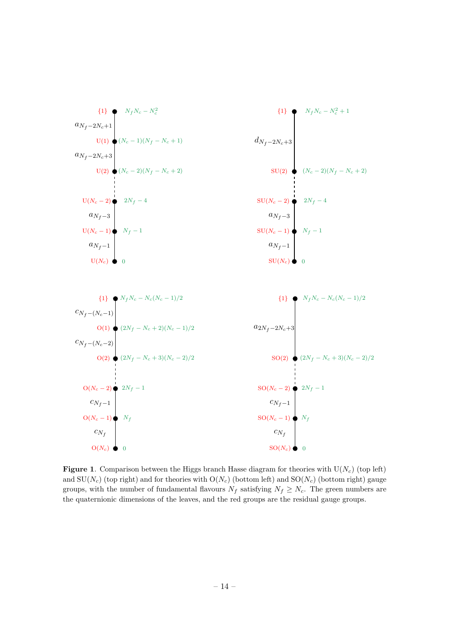

<span id="page-14-0"></span>**Figure 1.** Comparison between the Higgs branch Hasse diagram for theories with  $U(N_c)$  (top left) and  $SU(N_c)$  (top right) and for theories with  $O(N_c)$  (bottom left) and  $SO(N_c)$  (bottom right) gauge groups, with the number of fundamental flavours  $N_f$  satisfying  $N_f \geq N_c$ . The green numbers are the quaternionic dimensions of the leaves, and the red groups are the residual gauge groups.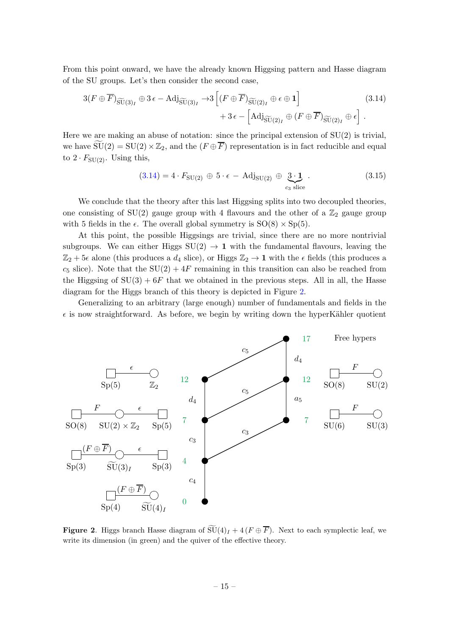From this point onward, we have the already known Higgsing pattern and Hasse diagram of the SU groups. Let's then consider the second case,

$$
3(F \oplus \overline{F})_{\widetilde{\mathrm{SU}}(3)_I} \oplus 3\epsilon - \mathrm{Adj}_{\widetilde{\mathrm{SU}}(3)_I} \to 3\left[ (F \oplus \overline{F})_{\widetilde{\mathrm{SU}}(2)_I} \oplus \epsilon \oplus \mathbf{1} \right] + 3\epsilon - \left[ \mathrm{Adj}_{\widetilde{\mathrm{SU}}(2)_I} \oplus (F \oplus \overline{F})_{\widetilde{\mathrm{SU}}(2)_I} \oplus \epsilon \right].
$$
\n(3.14)

Here we are making an abuse of notation: since the principal extension of  $SU(2)$  is trivial, we have  $SU(2) = SU(2) \times \mathbb{Z}_2$ , and the  $(F \oplus \overline{F})$  representation is in fact reducible and equal to  $2 \cdot F_{\mathrm{SU}(2)}$ . Using this,

<span id="page-15-0"></span>
$$
(3.14) = 4 \cdot F_{\text{SU}(2)} \oplus 5 \cdot \epsilon - \text{Adj}_{\text{SU}(2)} \oplus \underbrace{3 \cdot 1}_{c_3 \text{ slice}} \,. \tag{3.15}
$$

We conclude that the theory after this last Higgsing splits into two decoupled theories, one consisting of SU(2) gauge group with 4 flavours and the other of a  $\mathbb{Z}_2$  gauge group with 5 fields in the  $\epsilon$ . The overall global symmetry is  $SO(8) \times Sp(5)$ .

At this point, the possible Higgsings are trivial, since there are no more nontrivial subgroups. We can either Higgs  $SU(2) \rightarrow 1$  with the fundamental flavours, leaving the  $\mathbb{Z}_2 + 5\epsilon$  alone (this produces a  $d_4$  slice), or Higgs  $\mathbb{Z}_2 \to \mathbf{1}$  with the  $\epsilon$  fields (this produces a  $c_5$  slice). Note that the SU(2) +  $4F$  remaining in this transition can also be reached from the Higgsing of  $SU(3) + 6F$  that we obtained in the previous steps. All in all, the Hasse diagram for the Higgs branch of this theory is depicted in Figure [2.](#page-15-1)

Generalizing to an arbitrary (large enough) number of fundamentals and fields in the  $\epsilon$  is now straightforward. As before, we begin by writing down the hyperKähler quotient



<span id="page-15-1"></span>**Figure 2.** Higgs branch Hasse diagram of  $\widetilde{\mathrm{SU}}(4)_I + 4(F \oplus \overline{F})$ . Next to each symplectic leaf, we write its dimension (in green) and the quiver of the effective theory.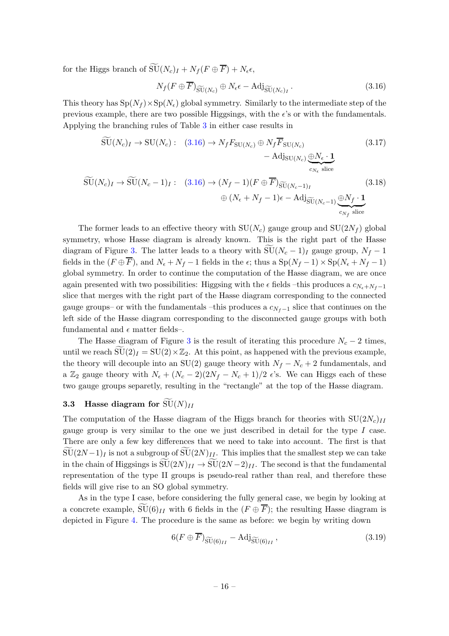for the Higgs branch of  $\widetilde{\mathrm{SU}}(N_c)_I + N_f (F \oplus \overline{F}) + N_{\epsilon} \epsilon$ ,

<span id="page-16-1"></span>
$$
N_f(F \oplus \overline{F})_{\widetilde{\mathrm{SU}}(N_c)} \oplus N_{\epsilon} \epsilon - \mathrm{Adj}_{\widetilde{\mathrm{SU}}(N_c)_I}.
$$
\n(3.16)

This theory has  $Sp(N_f) \times Sp(N_e)$  global symmetry. Similarly to the intermediate step of the previous example, there are two possible Higgsings, with the e's or with the fundamentals. Applying the branching rules of Table [3](#page-9-0) in either case results in

$$
\begin{split} \widetilde{\mathrm{SU}}(N_c)_I \to \mathrm{SU}(N_c): \quad (3.16) \to N_f F_{\mathrm{SU}(N_c)} \oplus N_f \overline{F}_{\mathrm{SU}(N_c)} \\ &- \mathrm{Adj}_{\mathrm{SU}(N_c)} \underset{c_{N_\epsilon} \text{ slice}}{\oplus N_\epsilon \cdot \mathbf{1}} \\ \widetilde{\mathrm{SU}}(N_c)_I \to \widetilde{\mathrm{SU}}(N_c - 1)_I: \quad (3.16) \to (N_f - 1)(F \oplus \overline{F})_{\widetilde{\mathrm{SU}}(N_c - 1)_I} \\ &\quad \oplus (N_\epsilon + N_f - 1)\epsilon - \mathrm{Adj}_{\widetilde{\mathrm{SU}}(N_c - 1)} \underset{c_{N_f} \text{ slice}}{\oplus N_f \cdot \mathbf{1}} \end{split} \tag{3.18}
$$

The former leads to an effective theory with  $SU(N_c)$  gauge group and  $SU(2N_f)$  global symmetry, whose Hasse diagram is already known. This is the right part of the Hasse diagram of Figure [3.](#page-17-0) The latter leads to a theory with  $SU(N_c-1)_I$  gauge group,  $N_f - 1$ fields in the  $(F \oplus \overline{F})$ , and  $N_{\epsilon} + N_{f} - 1$  fields in the  $\epsilon$ ; thus a  $Sp(N_{f} - 1) \times Sp(N_{\epsilon} + N_{f} - 1)$ global symmetry. In order to continue the computation of the Hasse diagram, we are once again presented with two possibilities: Higgsing with the  $\epsilon$  fields –this produces a  $c_{N_{\epsilon}+N_{f}-1}$ slice that merges with the right part of the Hasse diagram corresponding to the connected gauge groups– or with the fundamentals –this produces a  $c_{N_f-1}$  slice that continues on the left side of the Hasse diagram corresponding to the disconnected gauge groups with both fundamental and  $\epsilon$  matter fields-.

The Hasse diagram of Figure [3](#page-17-0) is the result of iterating this procedure  $N_c - 2$  times, until we reach  $\widetilde{\text{SU}}(2)_I = \text{SU}(2) \times \mathbb{Z}_2$ . At this point, as happened with the previous example, the theory will decouple into an SU(2) gauge theory with  $N_f - N_c + 2$  fundamentals, and a  $\mathbb{Z}_2$  gauge theory with  $N_{\epsilon} + (N_c - 2)(2N_f - N_c + 1)/2 \epsilon$ 's. We can Higgs each of these two gauge groups separetly, resulting in the "rectangle" at the top of the Hasse diagram.

# <span id="page-16-0"></span>**3.3** Hasse diagram for  $\text{SU}(N)_{II}$

The computation of the Hasse diagram of the Higgs branch for theories with  $SU(2N_c)_{II}$ gauge group is very similar to the one we just described in detail for the type  $I$  case. There are only a few key differences that we need to take into account. The first is that  $\widetilde{\mathrm{SU}}(2N-1)_I$  is not a subgroup of  $\widetilde{\mathrm{SU}}(2N)_{II}$ . This implies that the smallest step we can take in the chain of Higgsings is  $\widetilde{\text{SU}}(2N)_{II} \to \widetilde{\text{SU}}(2N-2)_{II}$ . The second is that the fundamental representation of the type II groups is pseudo-real rather than real, and therefore these fields will give rise to an SO global symmetry.

As in the type I case, before considering the fully general case, we begin by looking at a concrete example,  $SU(6)_{II}$  with 6 fields in the  $(F \oplus \overline{F})$ ; the resulting Hasse diagram is depicted in Figure [4.](#page-18-0) The procedure is the same as before: we begin by writing down

$$
6(F \oplus F)_{\widetilde{\mathrm{SU}}(6)_{II}} - \mathrm{Adj}_{\widetilde{\mathrm{SU}}(6)_{II}} ,\qquad (3.19)
$$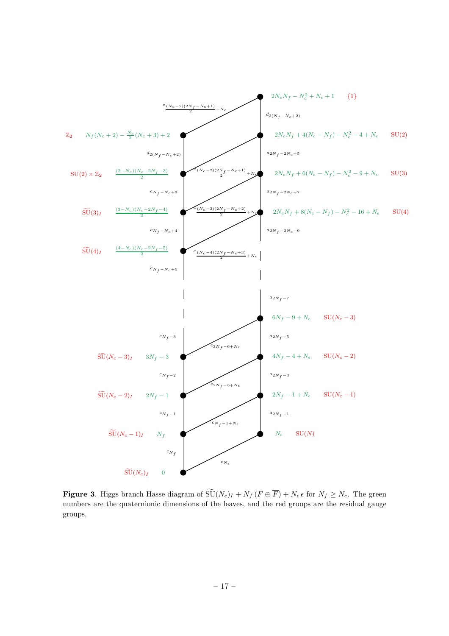

<span id="page-17-0"></span>**Figure 3.** Higgs branch Hasse diagram of  $\widetilde{\mathrm{SU}}(N_c)_I + N_f (F \oplus \overline{F}) + N_{\epsilon} \epsilon$  for  $N_f \geq N_c$ . The green numbers are the quaternionic dimensions of the leaves, and the red groups are the residual gauge groups.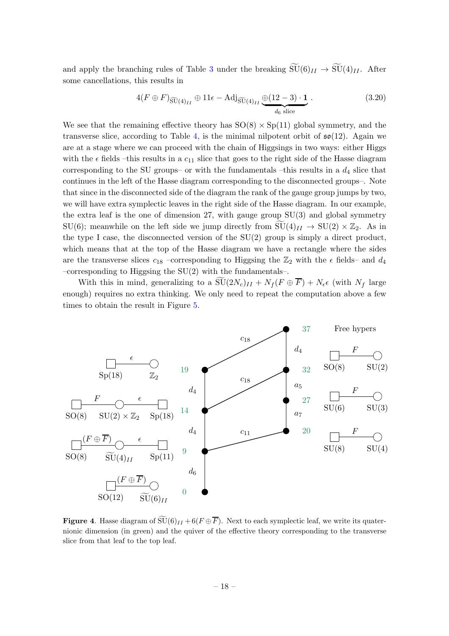and apply the branching rules of Table [3](#page-9-0) under the breaking  $\widetilde{\mathrm{SU}}(6)_{II} \to \widetilde{\mathrm{SU}}(4)_{II}$ . After some cancellations, this results in

$$
4(F \oplus F)_{\widetilde{\mathrm{SU}}(4)_{II}} \oplus 11\epsilon - \mathrm{Adj}_{\widetilde{\mathrm{SU}}(4)_{II}} \underbrace{\oplus (12-3) \cdot \mathbf{1}}_{d_6 \text{ slice}}.
$$
\n(3.20)

We see that the remaining effective theory has  $SO(8) \times Sp(11)$  global symmetry, and the transverse slice, according to Table [4,](#page-11-1) is the minimal nilpotent orbit of  $\mathfrak{so}(12)$ . Again we are at a stage where we can proceed with the chain of Higgsings in two ways: either Higgs with the  $\epsilon$  fields –this results in a  $c_{11}$  slice that goes to the right side of the Hasse diagram corresponding to the SU groups– or with the fundamentals –this results in a  $d_4$  slice that continues in the left of the Hasse diagram corresponding to the disconnected groups–. Note that since in the disconnected side of the diagram the rank of the gauge group jumps by two, we will have extra symplectic leaves in the right side of the Hasse diagram. In our example, the extra leaf is the one of dimension 27, with gauge group SU(3) and global symmetry SU(6); meanwhile on the left side we jump directly from  $SU(4)_{II} \rightarrow SU(2) \times \mathbb{Z}_2$ . As in the type I case, the disconnected version of the SU(2) group is simply a direct product, which means that at the top of the Hasse diagram we have a rectangle where the sides are the transverse slices  $c_{18}$  –corresponding to Higgsing the  $\mathbb{Z}_2$  with the  $\epsilon$  fields– and  $d_4$ –corresponding to Higgsing the SU(2) with the fundamentals–.

With this in mind, generalizing to a  $\text{SU}(2N_c)_{II} + N_f (F \oplus \overline{F}) + N_{\epsilon} \epsilon$  (with  $N_f$  large enough) requires no extra thinking. We only need to repeat the computation above a few times to obtain the result in Figure [5.](#page-19-0)



<span id="page-18-0"></span>**Figure 4.** Hasse diagram of  $\widetilde{\mathsf{SU}}(6)_{II} + 6(F \oplus \overline{F})$ . Next to each symplectic leaf, we write its quaternionic dimension (in green) and the quiver of the effective theory corresponding to the transverse slice from that leaf to the top leaf.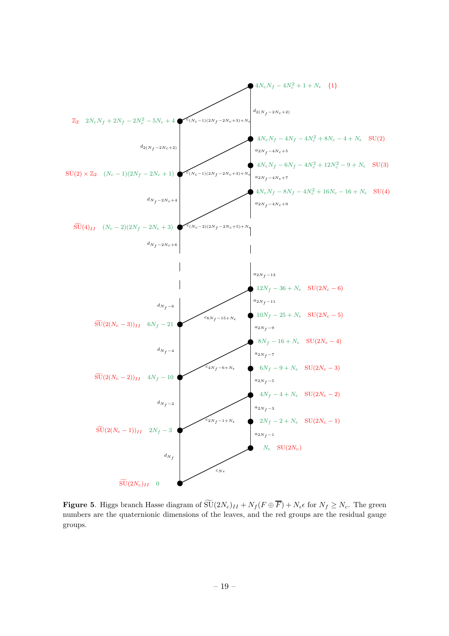

<span id="page-19-0"></span>**Figure 5.** Higgs branch Hasse diagram of  $\widetilde{\mathrm{SU}}(2N_c)_{II} + N_f (F \oplus \overline{F}) + N_{\epsilon} \epsilon$  for  $N_f \geq N_c$ . The green numbers are the quaternionic dimensions of the leaves, and the red groups are the residual gauge groups.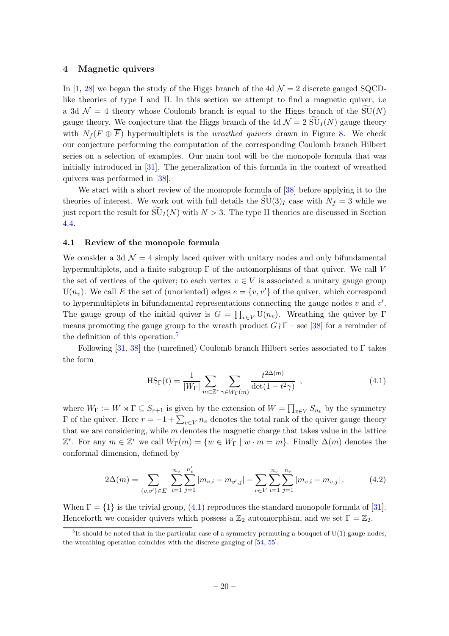#### <span id="page-20-0"></span>4 Magnetic quivers

In [\[1](#page-33-0), [28\]](#page-34-11) we began the study of the Higgs branch of the 4d  $\mathcal{N}=2$  discrete gauged SQCDlike theories of type I and II. In this section we attempt to find a magnetic quiver, i.e a 3d  $\mathcal{N} = 4$  theory whose Coulomb branch is equal to the Higgs branch of the SU(N) gauge theory. We conjecture that the Higgs branch of the 4d  $\mathcal{N} = 2 \widetilde{\mathrm{SU}}_I(N)$  gauge theory with  $N_f (F \oplus \overline{F})$  hypermultiplets is the *wreathed quivers* drawn in Figure [8.](#page-27-1) We check our conjecture performing the computation of the corresponding Coulomb branch Hilbert series on a selection of examples. Our main tool will be the monopole formula that was initially introduced in [\[31\]](#page-34-14). The generalization of this formula in the context of wreathed quivers was performed in [\[38](#page-35-5)].

We start with a short review of the monopole formula of [\[38](#page-35-5)] before applying it to the theories of interest. We work out with full details the  $SU(3)<sub>I</sub>$  case with  $N_f = 3$  while we just report the result for  $\widetilde{\mathrm{SU}}_I(N)$  with  $N > 3$ . The type II theories are discussed in Section [4.4.](#page-27-0)

#### <span id="page-20-1"></span>4.1 Review of the monopole formula

We consider a 3d  $\mathcal{N} = 4$  simply laced quiver with unitary nodes and only bifundamental hypermultiplets, and a finite subgroup  $\Gamma$  of the automorphisms of that quiver. We call V the set of vertices of the quiver; to each vertex  $v \in V$  is associated a unitary gauge group  $U(n_v)$ . We call E the set of (unoriented) edges  $e = \{v, v'\}$  of the quiver, which correspond to hypermultiplets in bifundamental representations connecting the gauge nodes  $v$  and  $v'$ . The gauge group of the initial quiver is  $G = \prod_{v \in V} U(n_v)$ . Wreathing the quiver by  $\Gamma$ means promoting the gauge group to the wreath product  $G \wr \Gamma$  – see [\[38](#page-35-5)] for a reminder of the definition of this operation.<sup>[5](#page-20-2)</sup>

Following [\[31](#page-34-14), [38](#page-35-5)] the (unrefined) Coulomb branch Hilbert series associated to  $\Gamma$  takes the form

<span id="page-20-4"></span><span id="page-20-3"></span>
$$
\text{HS}_{\Gamma}(t) = \frac{1}{|W_{\Gamma}|} \sum_{m \in \mathbb{Z}^r} \sum_{\gamma \in W_{\Gamma}(m)} \frac{t^{2\Delta(m)}}{\det(1 - t^2 \gamma)}, \qquad (4.1)
$$

where  $W_{\Gamma} := W \rtimes \Gamma \subseteq S_{r+1}$  is given by the extension of  $W = \prod_{v \in V} S_{n_v}$  by the symmetry  $\Gamma$  of the quiver. Here  $r = -1 + \sum_{v \in V} n_v$  denotes the total rank of the quiver gauge theory that we are considering, while  $m$  denotes the magnetic charge that takes value in the lattice  $\mathbb{Z}^r$ . For any  $m \in \mathbb{Z}^r$  we call  $W_{\Gamma}(m) = \{w \in W_{\Gamma} \mid w \cdot m = m\}$ . Finally  $\Delta(m)$  denotes the conformal dimension, defined by

$$
2\Delta(m) = \sum_{\{v,v'\} \in E} \sum_{i=1}^{n_v} \sum_{j=1}^{n'_v} |m_{v,i} - m_{v',j}| - \sum_{v \in V} \sum_{i=1}^{n_v} \sum_{j=1}^{n_v} |m_{v,i} - m_{v,j}|.
$$
 (4.2)

When  $\Gamma = \{1\}$  is the trivial group, [\(4.1\)](#page-20-3) reproduces the standard monopole formula of [\[31\]](#page-34-14). Henceforth we consider quivers which possess a  $\mathbb{Z}_2$  automorphism, and we set  $\Gamma = \mathbb{Z}_2$ .

<span id="page-20-2"></span> ${}^{5}$ It should be noted that in the particular case of a symmetry permuting a bouquet of U(1) gauge nodes, the wreathing operation coincides with the discrete gauging of [\[54,](#page-35-12) [55\]](#page-36-0).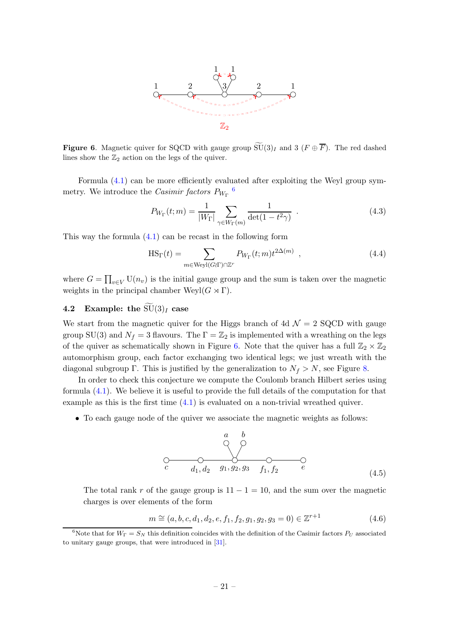

<span id="page-21-2"></span>**Figure 6.** Magnetic quiver for SQCD with gauge group  $\widetilde{\mathsf{SU}}(3)_I$  and 3 ( $F \oplus \overline{F}$ ). The red dashed lines show the  $\mathbb{Z}_2$  action on the legs of the quiver.

Formula [\(4.1\)](#page-20-3) can be more efficiently evaluated after exploiting the Weyl group symmetry. We introduce the *Casimir factors*  $P_{W_{\Gamma}}$ <sup>[6](#page-21-1)</sup>

$$
P_{W_{\Gamma}}(t;m) = \frac{1}{|W_{\Gamma}|} \sum_{\gamma \in W_{\Gamma}(m)} \frac{1}{\det(1 - t^2 \gamma)} . \tag{4.3}
$$

This way the formula [\(4.1\)](#page-20-3) can be recast in the following form

<span id="page-21-3"></span>
$$
HS_{\Gamma}(t) = \sum_{m \in \text{Weyl}(G\Gamma) \cap \mathbb{Z}^r} P_{W_{\Gamma}}(t;m) t^{2\Delta(m)}, \qquad (4.4)
$$

where  $G = \prod_{v \in V} U(n_v)$  is the initial gauge group and the sum is taken over the magnetic weights in the principal chamber  $Weyl(G \rtimes \Gamma)$ .

# <span id="page-21-0"></span>4.2 Example: the  $\widetilde{\mathrm{SU}}(3)_I$  case

We start from the magnetic quiver for the Higgs branch of 4d  $\mathcal{N}=2$  SQCD with gauge group SU(3) and  $N_f = 3$  flavours. The  $\Gamma = \mathbb{Z}_2$  is implemented with a wreathing on the legs of the quiver as schematically shown in Figure [6.](#page-21-2) Note that the quiver has a full  $\mathbb{Z}_2 \times \mathbb{Z}_2$ automorphism group, each factor exchanging two identical legs; we just wreath with the diagonal subgroup Γ. This is justified by the generalization to  $N_f > N$ , see Figure [8.](#page-27-1)

In order to check this conjecture we compute the Coulomb branch Hilbert series using formula [\(4.1\)](#page-20-3). We believe it is useful to provide the full details of the computation for that example as this is the first time [\(4.1\)](#page-20-3) is evaluated on a non-trivial wreathed quiver.

• To each gauge node of the quiver we associate the magnetic weights as follows:

$$
\begin{array}{ccccccccc}\n & & a & b & & & \\
 & & \circ & & \circ & & \\
\hline\nC & & & d_1, d_2 & g_1, g_2, g_3 & f_1, f_2 & e & & \\
\end{array}
$$
\n(4.5)

The total rank r of the gauge group is  $11 - 1 = 10$ , and the sum over the magnetic charges is over elements of the form

$$
m \cong (a, b, c, d_1, d_2, e, f_1, f_2, g_1, g_2, g_3 = 0) \in \mathbb{Z}^{r+1}
$$
\n(4.6)

<span id="page-21-1"></span><sup>&</sup>lt;sup>6</sup>Note that for  $W_{\Gamma} = S_N$  this definition coincides with the definition of the Casimir factors  $P_U$  associated to unitary gauge groups, that were introduced in [\[31](#page-34-14)].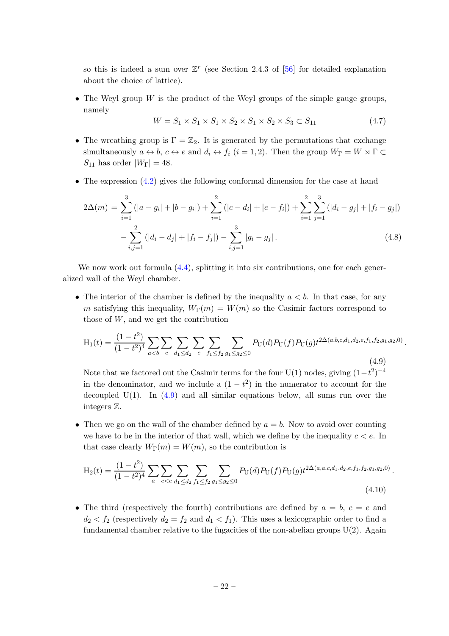so this is indeed a sum over  $\mathbb{Z}^r$  (see Section 2.4.3 of [\[56](#page-36-1)] for detailed explanation about the choice of lattice).

• The Weyl group  $W$  is the product of the Weyl groups of the simple gauge groups, namely

$$
W = S_1 \times S_1 \times S_1 \times S_2 \times S_1 \times S_2 \times S_3 \subset S_{11}
$$
\n
$$
(4.7)
$$

- The wreathing group is  $\Gamma = \mathbb{Z}_2$ . It is generated by the permutations that exchange simultaneously  $a \leftrightarrow b$ ,  $c \leftrightarrow e$  and  $d_i \leftrightarrow f_i$   $(i = 1, 2)$ . Then the group  $W_{\Gamma} = W \rtimes \Gamma \subset \Gamma$  $S_{11}$  has order  $|W_{\Gamma}| = 48$ .
- The expression  $(4.2)$  gives the following conformal dimension for the case at hand

$$
2\Delta(m) = \sum_{i=1}^{3} (|a - g_i| + |b - g_i|) + \sum_{i=1}^{2} (|c - d_i| + |e - f_i|) + \sum_{i=1}^{2} \sum_{j=1}^{3} (|d_i - g_j| + |f_i - g_j|)
$$
  

$$
-\sum_{i,j=1}^{2} (|d_i - d_j| + |f_i - f_j|) - \sum_{i,j=1}^{3} |g_i - g_j|.
$$
 (4.8)

We now work out formula  $(4.4)$ , splitting it into six contributions, one for each generalized wall of the Weyl chamber.

• The interior of the chamber is defined by the inequality  $a < b$ . In that case, for any m satisfying this inequality,  $W_{\Gamma}(m) = W(m)$  so the Casimir factors correspond to those of  $W$ , and we get the contribution

<span id="page-22-0"></span>
$$
H_1(t) = \frac{(1-t^2)}{(1-t^2)^4} \sum_{a\n(4.9)
$$

Note that we factored out the Casimir terms for the four U(1) nodes, giving  $(1-t^2)^{-4}$ in the denominator, and we include a  $(1-t^2)$  in the numerator to account for the decoupled  $U(1)$ . In  $(4.9)$  and all similar equations below, all sums run over the integers Z.

• Then we go on the wall of the chamber defined by  $a = b$ . Now to avoid over counting we have to be in the interior of that wall, which we define by the inequality  $c < e$ . In that case clearly  $W_{\Gamma}(m) = W(m)$ , so the contribution is

$$
H_2(t) = \frac{(1 - t^2)}{(1 - t^2)^4} \sum_{a} \sum_{c < e} \sum_{d_1 \le d_2} \sum_{f_1 \le f_2} \sum_{g_1 \le g_2 \le 0} P_U(d) P_U(f) P_U(g) t^{2\Delta(a, a, c, d_1, d_2, e, f_1, f_2, g_1, g_2, 0)} \tag{4.10}
$$

• The third (respectively the fourth) contributions are defined by  $a = b, c = e$  and  $d_2 < f_2$  (respectively  $d_2 = f_2$  and  $d_1 < f_1$ ). This uses a lexicographic order to find a fundamental chamber relative to the fugacities of the non-abelian groups  $U(2)$ . Again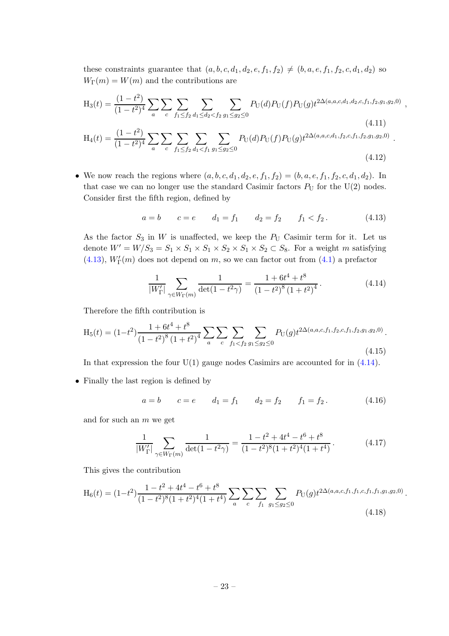these constraints guarantee that  $(a, b, c, d_1, d_2, e, f_1, f_2) \neq (b, a, e, f_1, f_2, c, d_1, d_2)$  so  $W_{\Gamma}(m) = W(m)$  and the contributions are

$$
H_3(t) = \frac{(1-t^2)}{(1-t^2)^4} \sum_{a} \sum_{c} \sum_{f_1 \le f_2} \sum_{d_1 \le d_2 < f_2} \sum_{g_1 \le g_2 \le 0} P_U(d) P_U(f) P_U(g) t^{2\Delta(a,a,c,d_1,d_2,c,f_1,f_2,g_1,g_2,0)} \tag{4.11}
$$

$$
H_4(t) = \frac{(1 - t^2)}{(1 - t^2)^4} \sum_{a} \sum_{c} \sum_{f_1 \le f_2} \sum_{d_1 < f_1} \sum_{g_1 \le g_2 \le 0} P_U(d) P_U(f) P_U(g) t^{2\Delta(a, a, c, d_1, f_2, c, f_1, f_2, g_1, g_2, 0)} \tag{4.12}
$$

• We now reach the regions where  $(a, b, c, d_1, d_2, e, f_1, f_2) = (b, a, e, f_1, f_2, c, d_1, d_2)$ . In that case we can no longer use the standard Casimir factors  $P_U$  for the U(2) nodes. Consider first the fifth region, defined by

<span id="page-23-0"></span>
$$
a = b
$$
  $c = e$   $d_1 = f_1$   $d_2 = f_2$   $f_1 < f_2$ . (4.13)

,

.

As the factor  $S_3$  in W is unaffected, we keep the  $P_U$  Casimir term for it. Let us denote  $W' = W/S_3 = S_1 \times S_1 \times S_2 \times S_2 \times S_1 \times S_2 \subset S_8$ . For a weight m satisfying  $(4.13), W'_{\Gamma}(m)$  $(4.13), W'_{\Gamma}(m)$  does not depend on m, so we can factor out from  $(4.1)$  a prefactor

<span id="page-23-1"></span>
$$
\frac{1}{|W'_{\Gamma}|} \sum_{\gamma \in W_{\Gamma}(m)} \frac{1}{\det(1 - t^2 \gamma)} = \frac{1 + 6t^4 + t^8}{(1 - t^2)^8 (1 + t^2)^4}.
$$
 (4.14)

Therefore the fifth contribution is

$$
H_5(t) = (1 - t^2) \frac{1 + 6t^4 + t^8}{(1 - t^2)^8 (1 + t^2)^4} \sum_{a} \sum_{c} \sum_{f_1 < f_2} \sum_{g_1 \le g_2 \le 0} P_U(g) t^{2\Delta(a, a, c, f_1, f_2, c, f_1, f_2, g_1, g_2, 0)}.
$$
\n(4.15)

In that expression the four  $U(1)$  gauge nodes Casimirs are accounted for in  $(4.14)$ .

• Finally the last region is defined by

$$
a = b
$$
  $c = e$   $d_1 = f_1$   $d_2 = f_2$   $f_1 = f_2$ . (4.16)

and for such an  $m$  we get

$$
\frac{1}{|W'_{\Gamma}|} \sum_{\gamma \in W_{\Gamma}(m)} \frac{1}{\det(1 - t^2 \gamma)} = \frac{1 - t^2 + 4t^4 - t^6 + t^8}{(1 - t^2)^8 (1 + t^2)^4 (1 + t^4)}.
$$
(4.17)

This gives the contribution

$$
H_6(t) = (1 - t^2) \frac{1 - t^2 + 4t^4 - t^6 + t^8}{(1 - t^2)^8 (1 + t^2)^4 (1 + t^4)} \sum_a \sum_c \sum_{f_1} \sum_{g_1 \le g_2 \le 0} P_U(g) t^{2\Delta(a, a, c, f_1, f_1, c, f_1, f_1, g_1, g_2, 0)}.
$$
\n(4.18)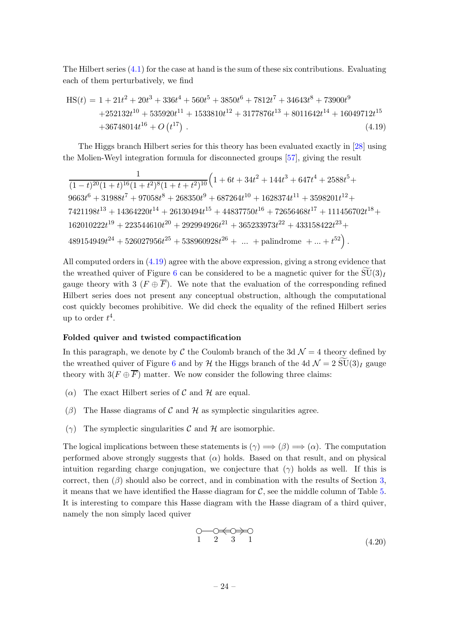The Hilbert series  $(4.1)$  for the case at hand is the sum of these six contributions. Evaluating each of them perturbatively, we find

<span id="page-24-0"></span>
$$
HS(t) = 1 + 21t2 + 20t3 + 336t4 + 560t5 + 3850t6 + 7812t7 + 34643t8 + 73900t9
$$
  
+252132t<sup>10</sup> + 535920t<sup>11</sup> + 1533810t<sup>12</sup> + 3177876t<sup>13</sup> + 8011642t<sup>14</sup> + 16049712t<sup>15</sup>  
+36748014t<sup>16</sup> + O(t<sup>17</sup>) . (4.19)

The Higgs branch Hilbert series for this theory has been evaluated exactly in [\[28\]](#page-34-11) using the Molien-Weyl integration formula for disconnected groups [\[57](#page-36-2)], giving the result

$$
\frac{1}{(1-t)^{20}(1+t)^{16}(1+t^2)^8(1+t+t^2)^{10}} \Big(1+6t+34t^2+144t^3+647t^4+2588t^5+\\9663t^6+31988t^7+97058t^8+268350t^9+687264t^{10}+1628374t^{11}+3598201t^{12}+\\7421198t^{13}+14364220t^{14}+26130494t^{15}+44837750t^{16}+72656468t^{17}+111456702t^{18}+\\162010222t^{19}+223544610t^{20}+292994926t^{21}+365233973t^{22}+433158422t^{23}+\\489154949t^{24}+526027956t^{25}+538960928t^{26}+\ldots+\text{palindrome}+\ldots+t^{52}\Big)\,.
$$

All computed orders in [\(4.19\)](#page-24-0) agree with the above expression, giving a strong evidence that the wreathed quiver of Figure [6](#page-21-2) can be considered to be a magnetic quiver for the  $\widetilde{\mathrm{SU}}(3)_I$ gauge theory with 3 ( $F \oplus \overline{F}$ ). We note that the evaluation of the corresponding refined Hilbert series does not present any conceptual obstruction, although the computational cost quickly becomes prohibitive. We did check the equality of the refined Hilbert series up to order  $t^4$ .

#### Folded quiver and twisted compactification

In this paragraph, we denote by C the Coulomb branch of the 3d  $\mathcal{N}=4$  theory defined by the wreathed quiver of Figure [6](#page-21-2) and by H the Higgs branch of the 4d  $\mathcal{N} = 2 \widetilde{\mathrm{SU}}(3)_I$  gauge theory with  $3(F \oplus \overline{F})$  matter. We now consider the following three claims:

- ( $\alpha$ ) The exact Hilbert series of C and H are equal.
- ( $\beta$ ) The Hasse diagrams of C and H as symplectic singularities agree.
- (γ) The symplectic singularities  $\mathcal C$  and  $\mathcal H$  are isomorphic.

The logical implications between these statements is  $(\gamma) \Longrightarrow (\beta) \Longrightarrow (\alpha)$ . The computation performed above strongly suggests that  $(\alpha)$  holds. Based on that result, and on physical intuition regarding charge conjugation, we conjecture that  $(\gamma)$  holds as well. If this is correct, then  $(\beta)$  should also be correct, and in combination with the results of Section [3,](#page-10-0) it means that we have identified the Hasse diagram for  $C$ , see the middle column of Table [5.](#page-25-0) It is interesting to compare this Hasse diagram with the Hasse diagram of a third quiver, namely the non simply laced quiver

<span id="page-24-1"></span>
$$
\begin{array}{ccc}\n\bigcirc & \bigcirc \leftarrow & \bigcirc \rightarrow \bigcirc \\
1 & 2 & 3 & 1\n\end{array} \tag{4.20}
$$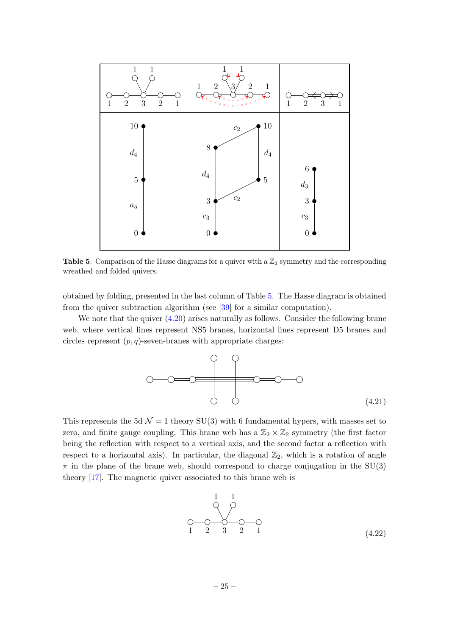

<span id="page-25-0"></span>Table 5. Comparison of the Hasse diagrams for a quiver with a  $\mathbb{Z}_2$  symmetry and the corresponding wreathed and folded quivers.

obtained by folding, presented in the last column of Table [5.](#page-25-0) The Hasse diagram is obtained from the quiver subtraction algorithm (see [\[39](#page-35-13)] for a similar computation).

We note that the quiver  $(4.20)$  arises naturally as follows. Consider the following brane web, where vertical lines represent NS5 branes, horizontal lines represent D5 branes and circles represent  $(p, q)$ -seven-branes with appropriate charges:



This represents the 5d  $\mathcal{N} = 1$  theory SU(3) with 6 fundamental hypers, with masses set to zero, and finite gauge coupling. This brane web has a  $\mathbb{Z}_2 \times \mathbb{Z}_2$  symmetry (the first factor being the reflection with respect to a vertical axis, and the second factor a reflection with respect to a horizontal axis). In particular, the diagonal  $\mathbb{Z}_2$ , which is a rotation of angle  $\pi$  in the plane of the brane web, should correspond to charge conjugation in the SU(3) theory [\[17](#page-34-17)]. The magnetic quiver associated to this brane web is

<span id="page-25-1"></span>
$$
\begin{array}{c}\n1 & 1 \\
0 & 0 \\
1 & 2 & 3 \\
2 & 1\n\end{array}
$$
\n(4.22)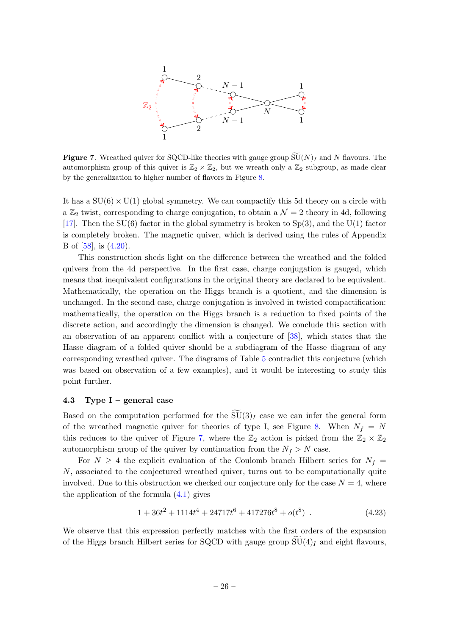

<span id="page-26-1"></span>Figure 7. Wreathed quiver for SQCD-like theories with gauge group  $\widetilde{SU}(N)_I$  and N flavours. The automorphism group of this quiver is  $\mathbb{Z}_2 \times \mathbb{Z}_2$ , but we wreath only a  $\mathbb{Z}_2$  subgroup, as made clear by the generalization to higher number of flavors in Figure [8.](#page-27-1)

It has a  $SU(6) \times U(1)$  global symmetry. We can compactify this 5d theory on a circle with a  $\mathbb{Z}_2$  twist, corresponding to charge conjugation, to obtain a  $\mathcal{N}=2$  theory in 4d, following [\[17](#page-34-17)]. Then the  $SU(6)$  factor in the global symmetry is broken to  $Sp(3)$ , and the U(1) factor is completely broken. The magnetic quiver, which is derived using the rules of Appendix B of [\[58](#page-36-3)], is [\(4.20\)](#page-24-1).

This construction sheds light on the difference between the wreathed and the folded quivers from the 4d perspective. In the first case, charge conjugation is gauged, which means that inequivalent configurations in the original theory are declared to be equivalent. Mathematically, the operation on the Higgs branch is a quotient, and the dimension is unchanged. In the second case, charge conjugation is involved in twisted compactification: mathematically, the operation on the Higgs branch is a reduction to fixed points of the discrete action, and accordingly the dimension is changed. We conclude this section with an observation of an apparent conflict with a conjecture of [\[38](#page-35-5)], which states that the Hasse diagram of a folded quiver should be a subdiagram of the Hasse diagram of any corresponding wreathed quiver. The diagrams of Table [5](#page-25-0) contradict this conjecture (which was based on observation of a few examples), and it would be interesting to study this point further.

#### <span id="page-26-0"></span>4.3 Type I – general case

Based on the computation performed for the  $\widetilde{\mathrm{SU}}(3)_I$  case we can infer the general form of the wreathed magnetic quiver for theories of type I, see Figure [8.](#page-27-1) When  $N_f = N$ this reduces to the quiver of Figure [7,](#page-26-1) where the  $\mathbb{Z}_2$  action is picked from the  $\mathbb{Z}_2 \times \mathbb{Z}_2$ automorphism group of the quiver by continuation from the  $N_f > N$  case.

For  $N \geq 4$  the explicit evaluation of the Coulomb branch Hilbert series for  $N_f =$ N, associated to the conjectured wreathed quiver, turns out to be computationally quite involved. Due to this obstruction we checked our conjecture only for the case  $N = 4$ , where the application of the formula  $(4.1)$  gives

$$
1 + 36t2 + 1114t4 + 24717t6 + 417276t8 + o(t8)
$$
 (4.23)

We observe that this expression perfectly matches with the first orders of the expansion of the Higgs branch Hilbert series for SQCD with gauge group  $\widetilde{\mathrm{SU}}(4)_I$  and eight flavours,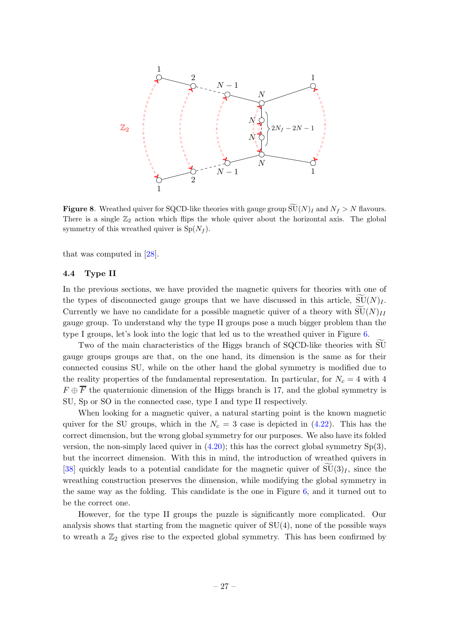

<span id="page-27-1"></span>**Figure 8.** Wreathed quiver for SQCD-like theories with gauge group  $SU(N)_I$  and  $N_f > N$  flavours. There is a single  $\mathbb{Z}_2$  action which flips the whole quiver about the horizontal axis. The global symmetry of this wreathed quiver is  $Sp(N_f)$ .

<span id="page-27-0"></span>that was computed in [\[28\]](#page-34-11).

#### 4.4 Type II

In the previous sections, we have provided the magnetic quivers for theories with one of the types of disconnected gauge groups that we have discussed in this article,  $\overline{SU}(N)_I$ . Currently we have no candidate for a possible magnetic quiver of a theory with  $\widetilde{\mathrm{SU}}(N)_{II}$ gauge group. To understand why the type II groups pose a much bigger problem than the type I groups, let's look into the logic that led us to the wreathed quiver in Figure [6.](#page-21-2)

Two of the main characteristics of the Higgs branch of SQCD-like theories with SU gauge groups groups are that, on the one hand, its dimension is the same as for their connected cousins SU, while on the other hand the global symmetry is modified due to the reality properties of the fundamental representation. In particular, for  $N_c = 4$  with 4  $F \oplus \overline{F}$  the quaternionic dimension of the Higgs branch is 17, and the global symmetry is SU, Sp or SO in the connected case, type I and type II respectively.

When looking for a magnetic quiver, a natural starting point is the known magnetic quiver for the SU groups, which in the  $N_c = 3$  case is depicted in [\(4.22\)](#page-25-1). This has the correct dimension, but the wrong global symmetry for our purposes. We also have its folded version, the non-simply laced quiver in  $(4.20)$ ; this has the correct global symmetry  $Sp(3)$ , but the incorrect dimension. With this in mind, the introduction of wreathed quivers in [\[38](#page-35-5)] quickly leads to a potential candidate for the magnetic quiver of  $\text{SU}(3)_I$ , since the wreathing construction preserves the dimension, while modifying the global symmetry in the same way as the folding. This candidate is the one in Figure [6,](#page-21-2) and it turned out to be the correct one.

However, for the type II groups the puzzle is significantly more complicated. Our analysis shows that starting from the magnetic quiver of  $SU(4)$ , none of the possible ways to wreath a  $\mathbb{Z}_2$  gives rise to the expected global symmetry. This has been confirmed by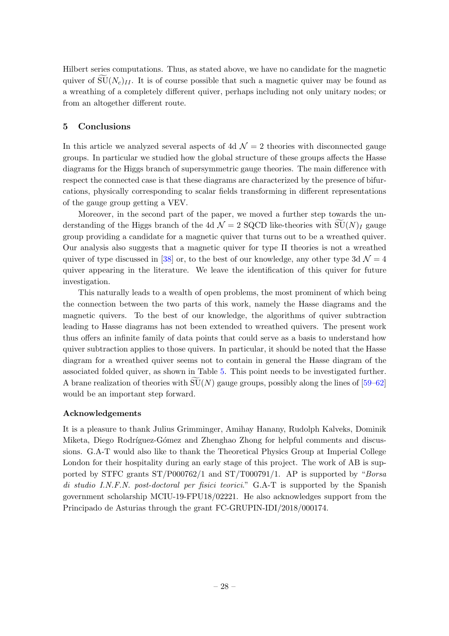Hilbert series computations. Thus, as stated above, we have no candidate for the magnetic quiver of  $\text{SU}(N_c)_{II}$ . It is of course possible that such a magnetic quiver may be found as a wreathing of a completely different quiver, perhaps including not only unitary nodes; or from an altogether different route.

# <span id="page-28-0"></span>5 Conclusions

In this article we analyzed several aspects of 4d  $\mathcal{N}=2$  theories with disconnected gauge groups. In particular we studied how the global structure of these groups affects the Hasse diagrams for the Higgs branch of supersymmetric gauge theories. The main difference with respect the connected case is that these diagrams are characterized by the presence of bifurcations, physically corresponding to scalar fields transforming in different representations of the gauge group getting a VEV.

Moreover, in the second part of the paper, we moved a further step towards the understanding of the Higgs branch of the 4d  $\mathcal{N} = 2$  SQCD like-theories with  $\widetilde{\mathrm{SU}}(N)_I$  gauge group providing a candidate for a magnetic quiver that turns out to be a wreathed quiver. Our analysis also suggests that a magnetic quiver for type II theories is not a wreathed quiver of type discussed in [\[38](#page-35-5)] or, to the best of our knowledge, any other type 3d  $\mathcal{N} = 4$ quiver appearing in the literature. We leave the identification of this quiver for future investigation.

This naturally leads to a wealth of open problems, the most prominent of which being the connection between the two parts of this work, namely the Hasse diagrams and the magnetic quivers. To the best of our knowledge, the algorithms of quiver subtraction leading to Hasse diagrams has not been extended to wreathed quivers. The present work thus offers an infinite family of data points that could serve as a basis to understand how quiver subtraction applies to those quivers. In particular, it should be noted that the Hasse diagram for a wreathed quiver seems not to contain in general the Hasse diagram of the associated folded quiver, as shown in Table [5.](#page-25-0) This point needs to be investigated further. A brane realization of theories with  $SU(N)$  gauge groups, possibly along the lines of [\[59](#page-36-4)[–62\]](#page-36-5) would be an important step forward.

# Acknowledgements

It is a pleasure to thank Julius Grimminger, Amihay Hanany, Rudolph Kalveks, Dominik Miketa, Diego Rodríguez-Gómez and Zhenghao Zhong for helpful comments and discussions. G.A-T would also like to thank the Theoretical Physics Group at Imperial College London for their hospitality during an early stage of this project. The work of AB is supported by STFC grants  $ST/P000762/1$  and  $ST/T000791/1$ . AP is supported by "Borsa di studio I.N.F.N. post-doctoral per fisici teorici." G.A-T is supported by the Spanish government scholarship MCIU-19-FPU18/02221. He also acknowledges support from the Principado de Asturias through the grant FC-GRUPIN-IDI/2018/000174.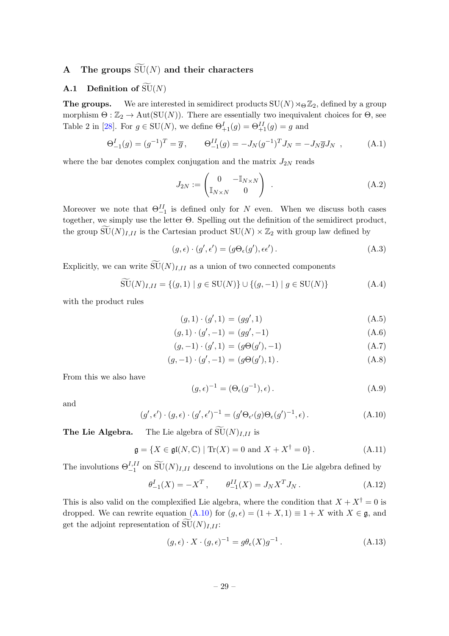# <span id="page-29-1"></span><span id="page-29-0"></span>A The groups  $\widetilde{\mathrm{SU}}(N)$  and their characters

# **A.1** Definition of  $\widetilde{\mathrm{SU}}(N)$

**The groups.** We are interested in semidirect products  $SU(N) \rtimes_{\Theta} \mathbb{Z}_2$ , defined by a group morphism  $\Theta : \mathbb{Z}_2 \to \text{Aut}(\text{SU}(N))$ . There are essentially two inequivalent choices for  $\Theta$ , see Table 2 in [\[28](#page-34-11)]. For  $g \in SU(N)$ , we define  $\Theta_{+1}^I(g) = \Theta_{+1}^{II}(g) = g$  and

$$
\Theta_{-1}^{I}(g) = (g^{-1})^{T} = \overline{g}, \qquad \Theta_{-1}^{II}(g) = -J_{N}(g^{-1})^{T} J_{N} = -J_{N} \overline{g} J_{N} , \qquad (A.1)
$$

where the bar denotes complex conjugation and the matrix  $J_{2N}$  reads

$$
J_{2N} := \begin{pmatrix} 0 & -\mathbb{I}_{N \times N} \\ \mathbb{I}_{N \times N} & 0 \end{pmatrix} .
$$
 (A.2)

Moreover we note that  $\Theta_{-1}^{\text{II}}$  is defined only for N even. When we discuss both cases together, we simply use the letter Θ. Spelling out the definition of the semidirect product, the group  $SU(N)_{I,II}$  is the Cartesian product  $SU(N) \times \mathbb{Z}_2$  with group law defined by

$$
(g, \epsilon) \cdot (g', \epsilon') = (g\Theta_{\epsilon}(g'), \epsilon \epsilon'). \tag{A.3}
$$

Explicitly, we can write  $\widetilde{\mathrm{SU}}(N)_{I,II}$  as a union of two connected components

$$
\widetilde{\mathrm{SU}}(N)_{I,II} = \{ (g,1) \mid g \in \mathrm{SU}(N) \} \cup \{ (g,-1) \mid g \in \mathrm{SU}(N) \} \tag{A.4}
$$

with the product rules

$$
(g,1)\cdot(g',1) = (gg',1) \tag{A.5}
$$

$$
(g,1)\cdot (g',-1) = (gg',-1) \tag{A.6}
$$

$$
(g, -1) \cdot (g', 1) = (g\Theta(g'), -1)
$$
 (A.7)

$$
(g, -1) \cdot (g', -1) = (g\Theta(g'), 1). \tag{A.8}
$$

From this we also have

$$
(g, \epsilon)^{-1} = (\Theta_{\epsilon}(g^{-1}), \epsilon).
$$
 (A.9)

and

<span id="page-29-3"></span>
$$
(g', \epsilon') \cdot (g, \epsilon) \cdot (g', \epsilon')^{-1} = (g' \Theta_{\epsilon'}(g) \Theta_{\epsilon}(g')^{-1}, \epsilon).
$$
 (A.10)

**The Lie Algebra.** The Lie algebra of  $\widetilde{\mathrm{SU}}(N)_{I,II}$  is

$$
\mathfrak{g} = \{ X \in \mathfrak{gl}(N, \mathbb{C}) \mid \text{Tr}(X) = 0 \text{ and } X + X^{\dagger} = 0 \}.
$$
 (A.11)

The involutions  $\Theta_{-1}^{I,II}$  on  $\widetilde{\mathrm{SU}}(N)_{I,II}$  descend to involutions on the Lie algebra defined by

$$
\theta_{-1}^{I}(X) = -X^{T}, \qquad \theta_{-1}^{II}(X) = J_{N}X^{T}J_{N}. \qquad (A.12)
$$

This is also valid on the complexified Lie algebra, where the condition that  $X + X^{\dagger} = 0$  is dropped. We can rewrite equation [\(A.10\)](#page-29-3) for  $(g, \epsilon) = (1 + X, 1) \equiv 1 + X$  with  $X \in \mathfrak{g}$ , and get the adjoint representation of  $\widetilde{\mathrm{SU}}(N)_{I,II}$ :

<span id="page-29-2"></span>
$$
(g, \epsilon) \cdot X \cdot (g, \epsilon)^{-1} = g\theta_{\epsilon}(X)g^{-1}.
$$
\n(A.13)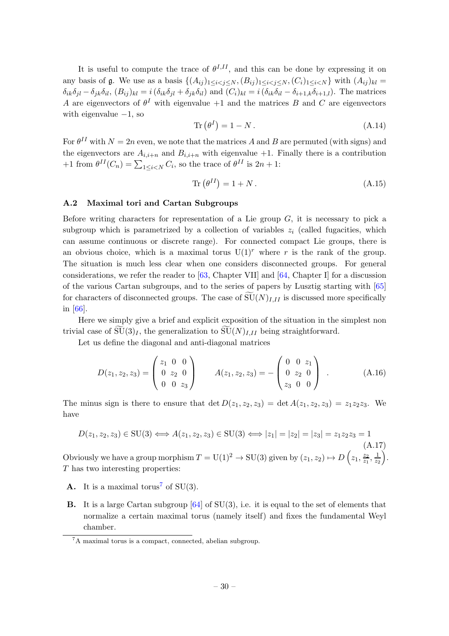It is useful to compute the trace of  $\theta^{I,II}$ , and this can be done by expressing it on any basis of g. We use as a basis  $\{(A_{ij})_{1\leq i < j \leq N}, (B_{ij})_{1\leq i < j \leq N}, (C_i)_{1\leq i < N}\}\$  with  $(A_{ij})_{kl} =$  $\delta_{ik}\delta_{il} - \delta_{ik}\delta_{il}$ ,  $(B_{ij})_{kl} = i(\delta_{ik}\delta_{il} + \delta_{ik}\delta_{il})$  and  $(C_i)_{kl} = i(\delta_{ik}\delta_{il} - \delta_{i+1,k}\delta_{i+1,l})$ . The matrices A are eigenvectors of  $\theta^I$  with eigenvalue  $+1$  and the matrices B and C are eigenvectors with eigenvalue  $-1$ , so

<span id="page-30-1"></span>
$$
\operatorname{Tr}\left(\theta^{I}\right) = 1 - N\,. \tag{A.14}
$$

For  $\theta^{II}$  with  $N = 2n$  even, we note that the matrices A and B are permuted (with signs) and the eigenvectors are  $A_{i,i+n}$  and  $B_{i,i+n}$  with eigenvalue +1. Finally there is a contribution +1 from  $\theta^{II}(C_n) = \sum_{1 \leq i < N} C_i$ , so the trace of  $\theta^{II}$  is  $2n + 1$ :

<span id="page-30-2"></span>
$$
\operatorname{Tr}\left(\theta^{II}\right) = 1 + N\,. \tag{A.15}
$$

### <span id="page-30-0"></span>A.2 Maximal tori and Cartan Subgroups

Before writing characters for representation of a Lie group  $G$ , it is necessary to pick a subgroup which is parametrized by a collection of variables  $z_i$  (called fugacities, which can assume continuous or discrete range). For connected compact Lie groups, there is an obvious choice, which is a maximal torus  $U(1)^r$  where r is the rank of the group. The situation is much less clear when one considers disconnected groups. For general considerations, we refer the reader to [\[63](#page-36-6), Chapter VII] and [\[64](#page-36-7), Chapter I] for a discussion of the various Cartan subgroups, and to the series of papers by Lusztig starting with [\[65\]](#page-36-8) for characters of disconnected groups. The case of  $\widetilde{\mathrm{SU}}(N)_{I,II}$  is discussed more specifically in [\[66](#page-36-9)].

Here we simply give a brief and explicit exposition of the situation in the simplest non trivial case of  $SU(3)_I$ , the generalization to  $SU(N)_{I,II}$  being straightforward.

Let us define the diagonal and anti-diagonal matrices

$$
D(z_1, z_2, z_3) = \begin{pmatrix} z_1 & 0 & 0 \\ 0 & z_2 & 0 \\ 0 & 0 & z_3 \end{pmatrix} \qquad A(z_1, z_2, z_3) = -\begin{pmatrix} 0 & 0 & z_1 \\ 0 & z_2 & 0 \\ z_3 & 0 & 0 \end{pmatrix} . \tag{A.16}
$$

The minus sign is there to ensure that  $\det D(z_1, z_2, z_3) = \det A(z_1, z_2, z_3) = z_1z_2z_3$ . We have

$$
D(z_1, z_2, z_3) \in \text{SU}(3) \iff A(z_1, z_2, z_3) \in \text{SU}(3) \iff |z_1| = |z_2| = |z_3| = z_1 z_2 z_3 = 1
$$
\n(A.17)

Obviously we have a group morphism  $T = U(1)^2 \to SU(3)$  given by  $(z_1, z_2) \mapsto D\left(z_1, \frac{z_2}{z_1}\right)$  $rac{z_2}{z_1}, \frac{1}{z_2}$  $z_2$  $\big).$ T has two interesting properties:

- A. It is a maximal torus<sup>[7](#page-30-3)</sup> of SU(3).
- B. It is a large Cartan subgroup [\[64\]](#page-36-7) of SU(3), i.e. it is equal to the set of elements that normalize a certain maximal torus (namely itself) and fixes the fundamental Weyl chamber.

<span id="page-30-3"></span><sup>7</sup>A maximal torus is a compact, connected, abelian subgroup.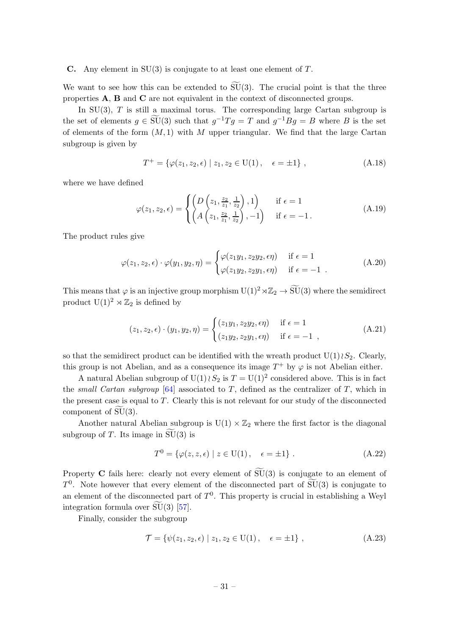#### **C.** Any element in  $SU(3)$  is conjugate to at least one element of T.

We want to see how this can be extended to  $\widetilde{SU}(3)$ . The crucial point is that the three properties A, B and C are not equivalent in the context of disconnected groups.

In  $SU(3)$ , T is still a maximal torus. The corresponding large Cartan subgroup is the set of elements  $g \in \widetilde{SU}(3)$  such that  $g^{-1}Tg = T$  and  $g^{-1}Bg = B$  where B is the set of elements of the form  $(M, 1)$  with M upper triangular. We find that the large Cartan subgroup is given by

$$
T^{+} = \{ \varphi(z_1, z_2, \epsilon) \mid z_1, z_2 \in U(1), \quad \epsilon = \pm 1 \}, \tag{A.18}
$$

where we have defined

$$
\varphi(z_1, z_2, \epsilon) = \begin{cases} \left( D\left(z_1, \frac{z_2}{z_1}, \frac{1}{z_2}\right), 1 \right) & \text{if } \epsilon = 1\\ \left( A\left(z_1, \frac{z_2}{z_1}, \frac{1}{z_2}\right), -1 \right) & \text{if } \epsilon = -1. \end{cases}
$$
 (A.19)

The product rules give

$$
\varphi(z_1, z_2, \epsilon) \cdot \varphi(y_1, y_2, \eta) = \begin{cases} \varphi(z_1 y_1, z_2 y_2, \epsilon \eta) & \text{if } \epsilon = 1 \\ \varphi(z_1 y_2, z_2 y_1, \epsilon \eta) & \text{if } \epsilon = -1 \end{cases}
$$
 (A.20)

This means that  $\varphi$  is an injective group morphism  $U(1)^2 \rtimes \mathbb{Z}_2 \to \widetilde{SU}(3)$  where the semidirect product  $U(1)^2 \rtimes \mathbb{Z}_2$  is defined by

<span id="page-31-1"></span>
$$
(z_1, z_2, \epsilon) \cdot (y_1, y_2, \eta) = \begin{cases} (z_1 y_1, z_2 y_2, \epsilon \eta) & \text{if } \epsilon = 1\\ (z_1 y_2, z_2 y_1, \epsilon \eta) & \text{if } \epsilon = -1 \end{cases},
$$
 (A.21)

so that the semidirect product can be identified with the wreath product  $U(1)\&S_2$ . Clearly, this group is not Abelian, and as a consequence its image  $T^+$  by  $\varphi$  is not Abelian either.

A natural Abelian subgroup of  $U(1) \wr S_2$  is  $T = U(1)^2$  considered above. This is in fact the small Cartan subgroup  $[64]$  $[64]$  associated to T, defined as the centralizer of T, which in the present case is equal to  $T$ . Clearly this is not relevant for our study of the disconnected component of  $\widetilde{SU}(3)$ .

Another natural Abelian subgroup is  $U(1) \times \mathbb{Z}_2$  where the first factor is the diagonal subgroup of T. Its image in  $SU(3)$  is

$$
T^{0} = \{ \varphi(z, z, \epsilon) \mid z \in U(1), \quad \epsilon = \pm 1 \}.
$$
 (A.22)

Property C fails here: clearly not every element of  $\widetilde{\mathrm{SU}}(3)$  is conjugate to an element of  $T^0$ . Note however that every element of the disconnected part of  $\widetilde{SU}(3)$  is conjugate to an element of the disconnected part of  $T^0$ . This property is crucial in establishing a Weyl integration formula over  $SU(3)$  [[57\]](#page-36-2).

Finally, consider the subgroup

<span id="page-31-0"></span>
$$
\mathcal{T} = \{ \psi(z_1, z_2, \epsilon) \mid z_1, z_2 \in U(1), \quad \epsilon = \pm 1 \}, \tag{A.23}
$$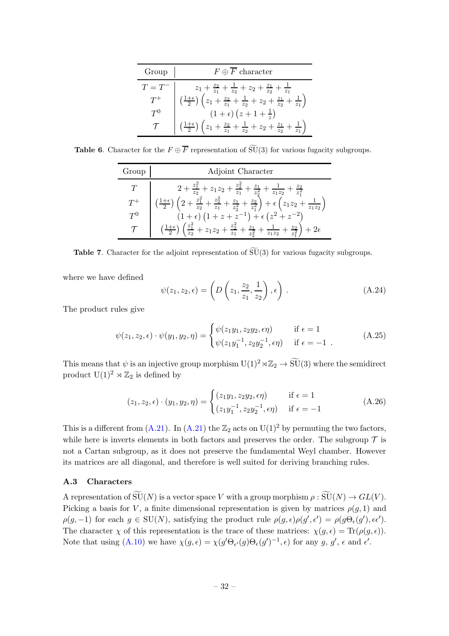| Group            | $F \oplus F$ character                                                                                              |
|------------------|---------------------------------------------------------------------------------------------------------------------|
|                  | $z_1+\frac{z_2}{z_1}+\frac{1}{z_2}+z_2+\frac{z_1}{z_2}+\frac{1}{z_1}$                                               |
|                  | $\left(\frac{1+\epsilon}{2}\right)\left(z_1+\frac{z_2}{z_1}+\frac{1}{z_2}+z_2+\frac{z_1}{z_2}+\frac{1}{z_1}\right)$ |
| $T^{\mathsf{U}}$ | $(1+\epsilon)(z+1+\frac{1}{z})$                                                                                     |
|                  | $z_1+\frac{z_2}{z_1}+\frac{1}{z_2}+z_2+\frac{z_1}{z_2}+$<br>$\left(\frac{1+\epsilon}{2}\right)$                     |

**Table 6.** Character for the  $F \oplus \overline{F}$  representation of  $\widetilde{SU}(3)$  for various fugacity subgroups.

| Group | Adjoint Character                                                                                                                                                            |
|-------|------------------------------------------------------------------------------------------------------------------------------------------------------------------------------|
|       | $2+\frac{z_1^2}{z_2}+z_1z_2+\frac{z_2^2}{z_1}+\frac{z_1}{z_2^2}+\frac{1}{z_1z_2}+\frac{z_2}{z_1^2}$                                                                          |
|       | $\left(2+\frac{z_1^2}{z_2}+\frac{z_2^2}{z_1}+\frac{z_1}{z_2^2}+\frac{z_2}{z_1^2}\right)+\epsilon\left(z_1z_2+\frac{1}{z_1z_2}\right)$<br>$\left(\frac{1+\epsilon}{2}\right)$ |
| $T^0$ | $(1+\epsilon)(1+z+z^{-1})+\epsilon(z^2+z^{-2})$                                                                                                                              |
|       | $\left(\frac{1+\epsilon}{2}\right)\left(\frac{z_1^2}{z_2}+z_1z_2+\frac{z_2^2}{z_1}+\frac{z_1}{z_2^2}+\frac{1}{z_1z_2}+\frac{z_2}{z_1^2}\right)$                              |

**Table 7.** Character for the adjoint representation of  $\widetilde{SU}(3)$  for various fugacity subgroups.

where we have defined

$$
\psi(z_1, z_2, \epsilon) = \left( D\left(z_1, \frac{z_2}{z_1}, \frac{1}{z_2}\right), \epsilon \right).
$$
\n(A.24)

The product rules give

$$
\psi(z_1, z_2, \epsilon) \cdot \psi(y_1, y_2, \eta) = \begin{cases} \psi(z_1 y_1, z_2 y_2, \epsilon \eta) & \text{if } \epsilon = 1 \\ \psi(z_1 y_1^{-1}, z_2 y_2^{-1}, \epsilon \eta) & \text{if } \epsilon = -1 \end{cases}
$$
 (A.25)

This means that  $\psi$  is an injective group morphism  $U(1)^2 \rtimes \mathbb{Z}_2 \to \widetilde{SU}(3)$  where the semidirect product  $U(1)^2 \rtimes \mathbb{Z}_2$  is defined by

$$
(z_1, z_2, \epsilon) \cdot (y_1, y_2, \eta) = \begin{cases} (z_1 y_1, z_2 y_2, \epsilon \eta) & \text{if } \epsilon = 1\\ (z_1 y_1^{-1}, z_2 y_2^{-1}, \epsilon \eta) & \text{if } \epsilon = -1 \end{cases}
$$
(A.26)

This is a different from  $(A.21)$ . In  $(A.21)$  the  $\mathbb{Z}_2$  acts on  $U(1)^2$  by permuting the two factors, while here is inverts elements in both factors and preserves the order. The subgroup  $\mathcal T$  is not a Cartan subgroup, as it does not preserve the fundamental Weyl chamber. However its matrices are all diagonal, and therefore is well suited for deriving branching rules.

### <span id="page-32-0"></span>A.3 Characters

A representation of  $\widetilde{\mathrm{SU}}(N)$  is a vector space V with a group morphism  $\rho : \widetilde{\mathrm{SU}}(N) \to GL(V)$ . Picking a basis for V, a finite dimensional representation is given by matrices  $\rho(q, 1)$  and  $\rho(g,-1)$  for each  $g \in SU(N)$ , satisfying the product rule  $\rho(g,\epsilon)\rho(g',\epsilon') = \rho(g\Theta_{\epsilon}(g'),\epsilon\epsilon')$ . The character  $\chi$  of this representation is the trace of these matrices:  $\chi(g, \epsilon) = \text{Tr}(\rho(g, \epsilon)).$ Note that using  $(A.10)$  we have  $\chi(g,\epsilon) = \chi(g'\Theta_{\epsilon'}(g)\Theta_{\epsilon}(g')^{-1},\epsilon)$  for any  $g, g', \epsilon$  and  $\epsilon'.$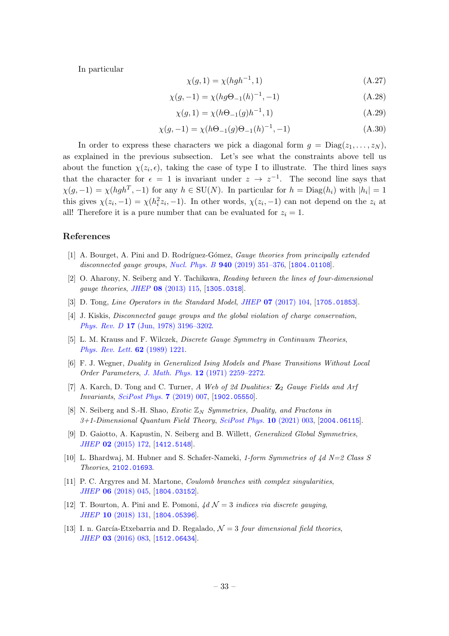In particular

$$
\chi(g, 1) = \chi(hgh^{-1}, 1) \tag{A.27}
$$

$$
\chi(g, -1) = \chi(hg\Theta_{-1}(h)^{-1}, -1)
$$
\n(A.28)

$$
\chi(g, 1) = \chi(h\Theta_{-1}(g)h^{-1}, 1)
$$
\n(A.29)

$$
\chi(g, -1) = \chi(h\Theta_{-1}(g)\Theta_{-1}(h)^{-1}, -1)
$$
\n(A.30)

In order to express these characters we pick a diagonal form  $g = \text{Diag}(z_1, \ldots, z_N)$ , as explained in the previous subsection. Let's see what the constraints above tell us about the function  $\chi(z_i, \epsilon)$ , taking the case of type I to illustrate. The third lines says that the character for  $\epsilon = 1$  is invariant under  $z \to z^{-1}$ . The second line says that  $\chi(g, -1) = \chi(hgh^T, -1)$  for any  $h \in SU(N)$ . In particular for  $h = \text{Diag}(h_i)$  with  $|h_i| = 1$ this gives  $\chi(z_i, -1) = \chi(h_i^2 z_i, -1)$ . In other words,  $\chi(z_i, -1)$  can not depend on the  $z_i$  at all! Therefore it is a pure number that can be evaluated for  $z_i = 1$ .

#### References

- <span id="page-33-0"></span>[1] A. Bourget, A. Pini and D. Rodríguez-Gómez, *Gauge theories from principally extended* disconnected gauge groups, Nucl. Phys. B **940** [\(2019\) 351–376,](http://dx.doi.org/10.1016/j.nuclphysb.2019.02.004) [[1804.01108](https://arxiv.org/abs/1804.01108)].
- <span id="page-33-1"></span>[2] O. Aharony, N. Seiberg and Y. Tachikawa, Reading between the lines of four-dimensional gauge theories, JHEP 08 [\(2013\) 115,](http://dx.doi.org/10.1007/JHEP08(2013)115) [[1305.0318](https://arxiv.org/abs/1305.0318)].
- <span id="page-33-2"></span>[3] D. Tong, *Line Operators in the Standard Model, JHEP* **07** [\(2017\) 104,](http://dx.doi.org/10.1007/JHEP07(2017)104) [[1705.01853](https://arxiv.org/abs/1705.01853)].
- <span id="page-33-3"></span>[4] J. Kiskis, Disconnected gauge groups and the global violation of charge conservation, Phys. Rev. D 17 [\(Jun, 1978\) 3196–3202.](http://dx.doi.org/10.1103/PhysRevD.17.3196)
- [5] L. M. Krauss and F. Wilczek, Discrete Gauge Symmetry in Continuum Theories, [Phys. Rev. Lett.](http://dx.doi.org/10.1103/PhysRevLett.62.1221) 62 (1989) 1221.
- <span id="page-33-4"></span>[6] F. J. Wegner, Duality in Generalized Ising Models and Phase Transitions Without Local Order Parameters, J. Math. Phys. 12 [\(1971\) 2259–2272.](http://dx.doi.org/10.1063/1.1665530)
- <span id="page-33-5"></span>[7] A. Karch, D. Tong and C. Turner, A Web of 2d Dualities:  $\mathbb{Z}_2$  Gauge Fields and Arf Invariants, [SciPost Phys.](http://dx.doi.org/10.21468/SciPostPhys.7.1.007) 7 (2019) 007, [[1902.05550](https://arxiv.org/abs/1902.05550)].
- <span id="page-33-6"></span>[8] N. Seiberg and S.-H. Shao, *Exotic*  $\mathbb{Z}_N$  *Symmetries, Duality, and Fractons in*  $3+1$ -Dimensional Quantum Field Theory, [SciPost Phys.](http://dx.doi.org/10.21468/SciPostPhys.10.1.003) 10 (2021) 003, [[2004.06115](https://arxiv.org/abs/2004.06115)].
- <span id="page-33-7"></span>[9] D. Gaiotto, A. Kapustin, N. Seiberg and B. Willett, Generalized Global Symmetries, JHEP 02 [\(2015\) 172,](http://dx.doi.org/10.1007/JHEP02(2015)172) [[1412.5148](https://arxiv.org/abs/1412.5148)].
- <span id="page-33-8"></span>[10] L. Bhardwaj, M. Hubner and S. Schafer-Nameki, 1-form Symmetries of  $4d$  N=2 Class S Theories, [2102.01693](https://arxiv.org/abs/2102.01693).
- <span id="page-33-9"></span>[11] P. C. Argyres and M. Martone, Coulomb branches with complex singularities, JHEP 06 [\(2018\) 045,](http://dx.doi.org/10.1007/JHEP06(2018)045) [[1804.03152](https://arxiv.org/abs/1804.03152)].
- <span id="page-33-10"></span>[12] T. Bourton, A. Pini and E. Pomoni,  $4d \mathcal{N} = 3$  indices via discrete gauging, JHEP 10 [\(2018\) 131,](http://dx.doi.org/10.1007/JHEP10(2018)131) [[1804.05396](https://arxiv.org/abs/1804.05396)].
- <span id="page-33-11"></span>[13] I. n. García-Etxebarria and D. Regalado,  $\mathcal{N}=3$  four dimensional field theories, JHEP 03 [\(2016\) 083,](http://dx.doi.org/10.1007/JHEP03(2016)083) [[1512.06434](https://arxiv.org/abs/1512.06434)].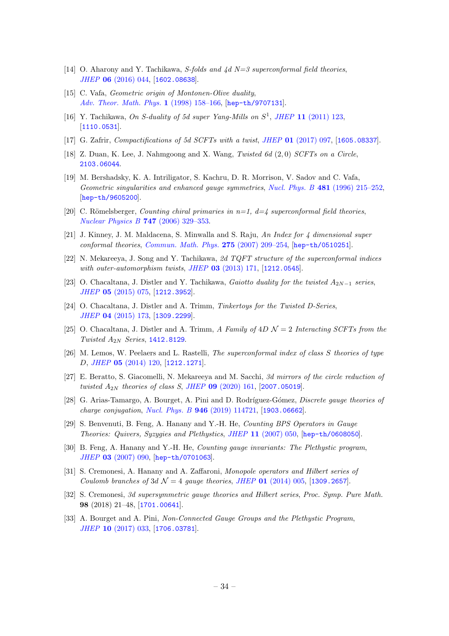- <span id="page-34-0"></span>[14] O. Aharony and Y. Tachikawa, S-folds and  $\frac{1}{d}d$  N=3 superconformal field theories, JHEP 06 [\(2016\) 044,](http://dx.doi.org/10.1007/JHEP06(2016)044) [[1602.08638](https://arxiv.org/abs/1602.08638)].
- <span id="page-34-1"></span>[15] C. Vafa, *Geometric origin of Montonen-Olive duality*, [Adv. Theor. Math. Phys.](http://dx.doi.org/10.4310/ATMP.1997.v1.n1.a6) 1 (1998) 158–166, [[hep-th/9707131](https://arxiv.org/abs/hep-th/9707131)].
- [16] Y. Tachikawa, On S-duality of 5d super Yang-Mills on  $S^1$ , JHEP 11 [\(2011\) 123,](http://dx.doi.org/10.1007/JHEP11(2011)123) [[1110.0531](https://arxiv.org/abs/1110.0531)].
- <span id="page-34-17"></span>[17] G. Zafrir, Compactifications of 5d SCFTs with a twist, JHEP 01 [\(2017\) 097,](http://dx.doi.org/10.1007/JHEP01(2017)097) [[1605.08337](https://arxiv.org/abs/1605.08337)].
- <span id="page-34-2"></span>[18] Z. Duan, K. Lee, J. Nahmgoong and X. Wang, Twisted 6d (2, 0) SCFTs on a Circle, [2103.06044](https://arxiv.org/abs/2103.06044).
- <span id="page-34-3"></span>[19] M. Bershadsky, K. A. Intriligator, S. Kachru, D. R. Morrison, V. Sadov and C. Vafa, Geometric singularities and enhanced gauge symmetries, Nucl. Phys. B 481 [\(1996\) 215–252,](http://dx.doi.org/10.1016/S0550-3213(96)90131-5) [[hep-th/9605200](https://arxiv.org/abs/hep-th/9605200)].
- <span id="page-34-4"></span>[20] C. Römelsberger, Counting chiral primaries in  $n=1$ ,  $d=4$  superconformal field theories, [Nuclear Physics B](http://dx.doi.org/https://doi.org/10.1016/j.nuclphysb.2006.03.037) 747 (2006) 329–353.
- <span id="page-34-5"></span>[21] J. Kinney, J. M. Maldacena, S. Minwalla and S. Raju, An Index for 4 dimensional super conformal theories, [Commun. Math. Phys.](http://dx.doi.org/10.1007/s00220-007-0258-7) 275 (2007) 209–254, [[hep-th/0510251](https://arxiv.org/abs/hep-th/0510251)].
- <span id="page-34-6"></span>[22] N. Mekareeya, J. Song and Y. Tachikawa, 2d TQFT structure of the superconformal indices with outer-automorphism twists, JHEP 03 [\(2013\) 171,](http://dx.doi.org/10.1007/JHEP03(2013)171) [[1212.0545](https://arxiv.org/abs/1212.0545)].
- <span id="page-34-7"></span>[23] O. Chacaltana, J. Distler and Y. Tachikawa, Gaiotto duality for the twisted  $A_{2N-1}$  series, JHEP 05 [\(2015\) 075,](http://dx.doi.org/10.1007/JHEP05(2015)075) [[1212.3952](https://arxiv.org/abs/1212.3952)].
- [24] O. Chacaltana, J. Distler and A. Trimm, Tinkertoys for the Twisted D-Series, JHEP 04 [\(2015\) 173,](http://dx.doi.org/10.1007/JHEP04(2015)173) [[1309.2299](https://arxiv.org/abs/1309.2299)].
- <span id="page-34-8"></span>[25] O. Chacaltana, J. Distler and A. Trimm, A Family of  $4D\mathcal{N}=2$  Interacting SCFTs from the Twisted  $A_{2N}$  Series, [1412.8129](https://arxiv.org/abs/1412.8129).
- <span id="page-34-9"></span>[26] M. Lemos, W. Peelaers and L. Rastelli, The superconformal index of class S theories of type D, JHEP 05 [\(2014\) 120,](http://dx.doi.org/10.1007/JHEP05(2014)120) [[1212.1271](https://arxiv.org/abs/1212.1271)].
- <span id="page-34-10"></span>[27] E. Beratto, S. Giacomelli, N. Mekareeya and M. Sacchi, 3d mirrors of the circle reduction of twisted  $A_{2N}$  theories of class S, JHEP 09 [\(2020\) 161,](http://dx.doi.org/10.1007/JHEP09(2020)161) [[2007.05019](https://arxiv.org/abs/2007.05019)].
- <span id="page-34-11"></span>[28] G. Arias-Tamargo, A. Bourget, A. Pini and D. Rodríguez-Gómez, Discrete gauge theories of charge conjugation, Nucl. Phys. B 946 [\(2019\) 114721,](http://dx.doi.org/10.1016/j.nuclphysb.2019.114721) [[1903.06662](https://arxiv.org/abs/1903.06662)].
- <span id="page-34-12"></span>[29] S. Benvenuti, B. Feng, A. Hanany and Y.-H. He, Counting BPS Operators in Gauge Theories: Quivers, Syzygies and Plethystics, JHEP 11 [\(2007\) 050,](http://dx.doi.org/10.1088/1126-6708/2007/11/050) [[hep-th/0608050](https://arxiv.org/abs/hep-th/0608050)].
- <span id="page-34-13"></span>[30] B. Feng, A. Hanany and Y.-H. He, Counting gauge invariants: The Plethystic program, JHEP 03 [\(2007\) 090,](http://dx.doi.org/10.1088/1126-6708/2007/03/090) [[hep-th/0701063](https://arxiv.org/abs/hep-th/0701063)].
- <span id="page-34-14"></span>[31] S. Cremonesi, A. Hanany and A. Zaffaroni, Monopole operators and Hilbert series of Coulomb branches of  $3d \mathcal{N} = 4$  gauge theories, JHEP 01 [\(2014\) 005,](http://dx.doi.org/10.1007/JHEP01(2014)005) [[1309.2657](https://arxiv.org/abs/1309.2657)].
- <span id="page-34-15"></span>[32] S. Cremonesi, 3d supersymmetric gauge theories and Hilbert series, Proc. Symp. Pure Math. 98 (2018) 21–48, [[1701.00641](https://arxiv.org/abs/1701.00641)].
- <span id="page-34-16"></span>[33] A. Bourget and A. Pini, Non-Connected Gauge Groups and the Plethystic Program, JHEP 10 [\(2017\) 033,](http://dx.doi.org/10.1007/JHEP10(2017)033) [[1706.03781](https://arxiv.org/abs/1706.03781)].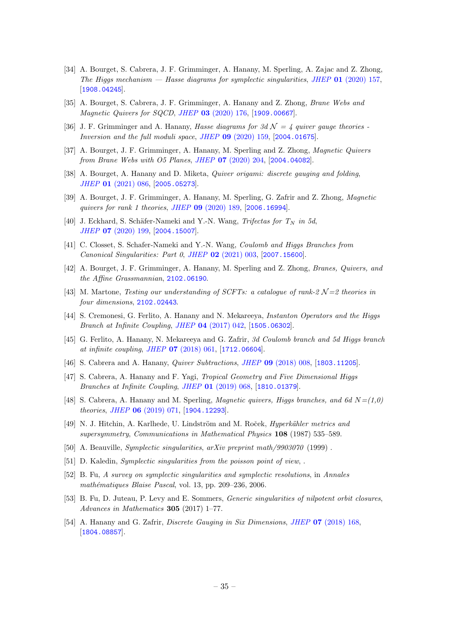- <span id="page-35-0"></span>[34] A. Bourget, S. Cabrera, J. F. Grimminger, A. Hanany, M. Sperling, A. Zajac and Z. Zhong, The Higgs mechanism  $-$  Hasse diagrams for symplectic singularities, JHEP 01 [\(2020\) 157,](http://dx.doi.org/10.1007/JHEP01(2020)157) [[1908.04245](https://arxiv.org/abs/1908.04245)].
- <span id="page-35-1"></span>[35] A. Bourget, S. Cabrera, J. F. Grimminger, A. Hanany and Z. Zhong, Brane Webs and Magnetic Quivers for SQCD, JHEP 03 [\(2020\) 176,](http://dx.doi.org/10.1007/JHEP03(2020)176) [[1909.00667](https://arxiv.org/abs/1909.00667)].
- [36] J. F. Grimminger and A. Hanany, Hasse diagrams for 3d  $\mathcal{N} = 4$  quiver gauge theories -Inversion and the full moduli space, JHEP 09 [\(2020\) 159,](http://dx.doi.org/10.1007/JHEP09(2020)159) [[2004.01675](https://arxiv.org/abs/2004.01675)].
- [37] A. Bourget, J. F. Grimminger, A. Hanany, M. Sperling and Z. Zhong, Magnetic Quivers from Brane Webs with O5 Planes, JHEP 07 [\(2020\) 204,](http://dx.doi.org/10.1007/JHEP07(2020)204) [[2004.04082](https://arxiv.org/abs/2004.04082)].
- <span id="page-35-5"></span>[38] A. Bourget, A. Hanany and D. Miketa, Quiver origami: discrete gauging and folding, JHEP 01 [\(2021\) 086,](http://dx.doi.org/10.1007/JHEP01(2021)086) [[2005.05273](https://arxiv.org/abs/2005.05273)].
- <span id="page-35-13"></span>[39] A. Bourget, J. F. Grimminger, A. Hanany, M. Sperling, G. Zafrir and Z. Zhong, Magnetic quivers for rank 1 theories, JHEP 09 [\(2020\) 189,](http://dx.doi.org/10.1007/JHEP09(2020)189) [[2006.16994](https://arxiv.org/abs/2006.16994)].
- [40] J. Eckhard, S. Schäfer-Nameki and Y.-N. Wang, Trifectas for  $T_N$  in 5d, JHEP 07 [\(2020\) 199,](http://dx.doi.org/10.1007/JHEP07(2020)199) [[2004.15007](https://arxiv.org/abs/2004.15007)].
- [41] C. Closset, S. Schafer-Nameki and Y.-N. Wang, Coulomb and Higgs Branches from Canonical Singularities: Part 0, JHEP 02 [\(2021\) 003,](http://dx.doi.org/10.1007/JHEP02(2021)003) [[2007.15600](https://arxiv.org/abs/2007.15600)].
- <span id="page-35-10"></span>[42] A. Bourget, J. F. Grimminger, A. Hanany, M. Sperling and Z. Zhong, Branes, Quivers, and the Affine Grassmannian, [2102.06190](https://arxiv.org/abs/2102.06190).
- <span id="page-35-2"></span>[43] M. Martone, Testing our understanding of SCFTs: a catalogue of rank- $2 \mathcal{N}=2$  theories in four dimensions, [2102.02443](https://arxiv.org/abs/2102.02443).
- <span id="page-35-3"></span>[44] S. Cremonesi, G. Ferlito, A. Hanany and N. Mekareeya, Instanton Operators and the Higgs Branch at Infinite Coupling, JHEP 04 [\(2017\) 042,](http://dx.doi.org/10.1007/JHEP04(2017)042) [[1505.06302](https://arxiv.org/abs/1505.06302)].
- [45] G. Ferlito, A. Hanany, N. Mekareeya and G. Zafrir, 3d Coulomb branch and 5d Higgs branch at infinite coupling, JHEP 07 [\(2018\) 061,](http://dx.doi.org/10.1007/JHEP07(2018)061) [[1712.06604](https://arxiv.org/abs/1712.06604)].
- [46] S. Cabrera and A. Hanany, Quiver Subtractions, JHEP 09 [\(2018\) 008,](http://dx.doi.org/10.1007/JHEP09(2018)008) [[1803.11205](https://arxiv.org/abs/1803.11205)].
- [47] S. Cabrera, A. Hanany and F. Yagi, Tropical Geometry and Five Dimensional Higgs Branches at Infinite Coupling, JHEP 01 [\(2019\) 068,](http://dx.doi.org/10.1007/JHEP01(2019)068) [[1810.01379](https://arxiv.org/abs/1810.01379)].
- <span id="page-35-4"></span>[48] S. Cabrera, A. Hanany and M. Sperling, *Magnetic quivers, Higgs branches, and 6d N* = (1,0) theories, JHEP 06 [\(2019\) 071,](http://dx.doi.org/10.1007/JHEP06(2019)071) [[1904.12293](https://arxiv.org/abs/1904.12293)].
- <span id="page-35-6"></span>[49] N. J. Hitchin, A. Karlhede, U. Lindström and M. Roček, *Hyperkähler metrics and* supersymmetry, Communications in Mathematical Physics 108 (1987) 535–589.
- <span id="page-35-7"></span>[50] A. Beauville, Symplectic singularities, arXiv preprint math/9903070 (1999) .
- <span id="page-35-8"></span>[51] D. Kaledin, Symplectic singularities from the poisson point of view, .
- <span id="page-35-9"></span>[52] B. Fu, A survey on symplectic singularities and symplectic resolutions, in Annales mathématiques Blaise Pascal, vol. 13, pp. 209–236, 2006.
- <span id="page-35-11"></span>[53] B. Fu, D. Juteau, P. Levy and E. Sommers, Generic singularities of nilpotent orbit closures, Advances in Mathematics 305 (2017) 1–77.
- <span id="page-35-12"></span>[54] A. Hanany and G. Zafrir, *Discrete Gauging in Six Dimensions*, *JHEP* **07** [\(2018\) 168,](http://dx.doi.org/10.1007/JHEP07(2018)168) [[1804.08857](https://arxiv.org/abs/1804.08857)].